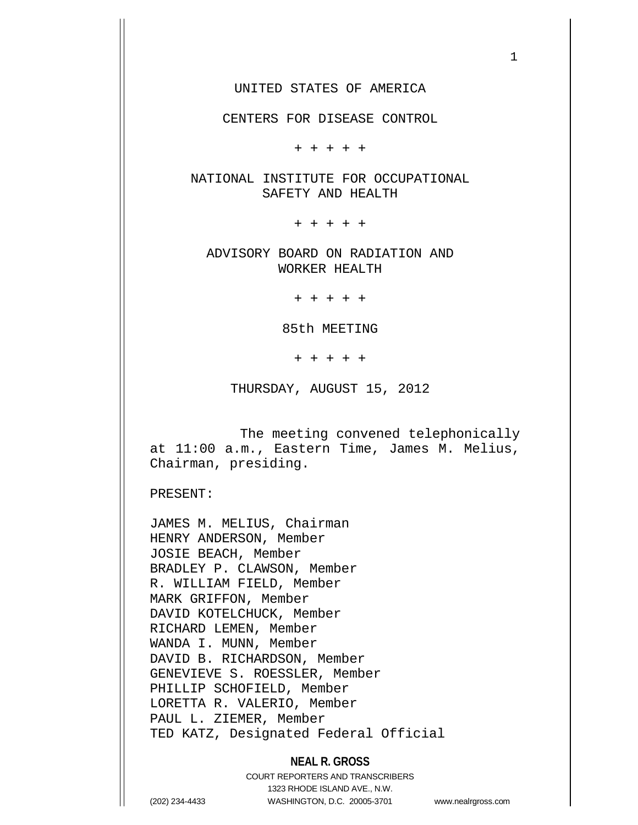1

CENTERS FOR DISEASE CONTROL

+ + + + +

NATIONAL INSTITUTE FOR OCCUPATIONAL SAFETY AND HEALTH

+ + + + +

ADVISORY BOARD ON RADIATION AND WORKER HEALTH

+ + + + +

85th MEETING

+ + + + +

THURSDAY, AUGUST 15, 2012

 The meeting convened telephonically at 11:00 a.m., Eastern Time, James M. Melius, Chairman, presiding.

PRESENT:

JAMES M. MELIUS, Chairman HENRY ANDERSON, Member JOSIE BEACH, Member BRADLEY P. CLAWSON, Member R. WILLIAM FIELD, Member MARK GRIFFON, Member DAVID KOTELCHUCK, Member RICHARD LEMEN, Member WANDA I. MUNN, Member DAVID B. RICHARDSON, Member GENEVIEVE S. ROESSLER, Member PHILLIP SCHOFIELD, Member LORETTA R. VALERIO, Member PAUL L. ZIEMER, Member TED KATZ, Designated Federal Official

## **NEAL R. GROSS**

COURT REPORTERS AND TRANSCRIBERS 1323 RHODE ISLAND AVE., N.W. (202) 234-4433 WASHINGTON, D.C. 20005-3701 www.nealrgross.com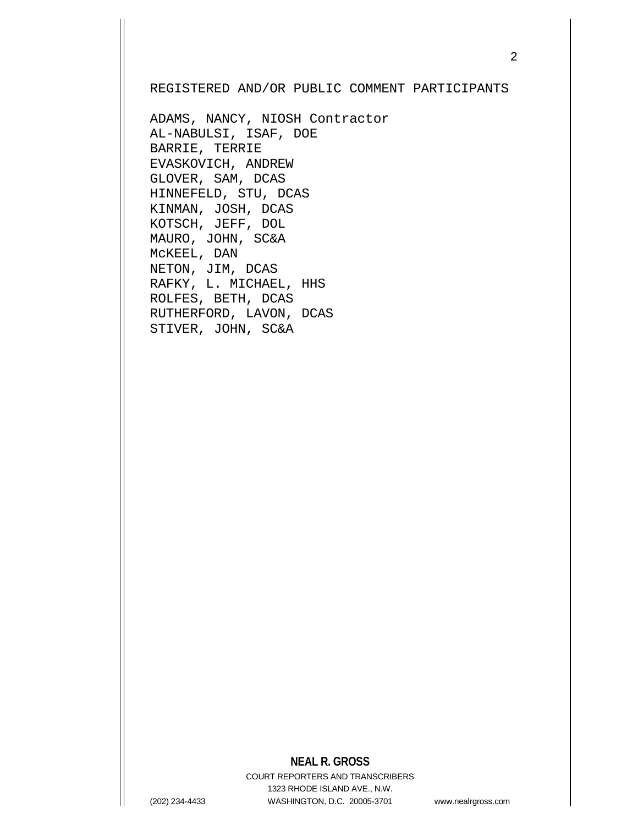## REGISTERED AND/OR PUBLIC COMMENT PARTICIPANTS

ADAMS, NANCY, NIOSH Contractor AL-NABULSI, ISAF, DOE BARRIE, TERRIE EVASKOVICH, ANDREW GLOVER, SAM, DCAS HINNEFELD, STU, DCAS KINMAN, JOSH, DCAS KOTSCH, JEFF, DOL MAURO, JOHN, SC&A McKEEL, DAN NETON, JIM, DCAS RAFKY, L. MICHAEL, HHS ROLFES, BETH, DCAS RUTHERFORD, LAVON, DCAS STIVER, JOHN, SC&A

## **NEAL R. GROSS**

COURT REPORTERS AND TRANSCRIBERS 1323 RHODE ISLAND AVE., N.W. (202) 234-4433 WASHINGTON, D.C. 20005-3701 www.nealrgross.com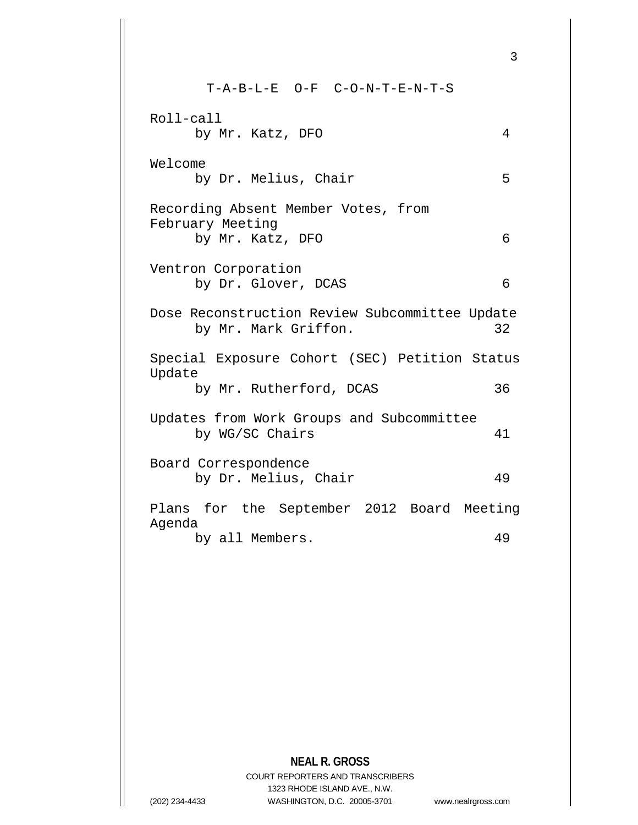T-A-B-L-E O-F C-O-N-T-E-N-T-S Roll-call by Mr. Katz, DFO 4 Welcome by Dr. Melius, Chair 5 Recording Absent Member Votes, from February Meeting by Mr. Katz, DFO 6 Ventron Corporation by Dr. Glover, DCAS 6 Dose Reconstruction Review Subcommittee Update<br>by Mr. Mark Griffon. 32 by Mr. Mark Griffon. Special Exposure Cohort (SEC) Petition Status Update by Mr. Rutherford, DCAS 36 Updates from Work Groups and Subcommittee by WG/SC Chairs 41 Board Correspondence by Dr. Melius, Chair 49 Plans for the September 2012 Board Meeting Agenda by all Members. 49

## **NEAL R. GROSS**

COURT REPORTERS AND TRANSCRIBERS 1323 RHODE ISLAND AVE., N.W. (202) 234-4433 WASHINGTON, D.C. 20005-3701 www.nealrgross.com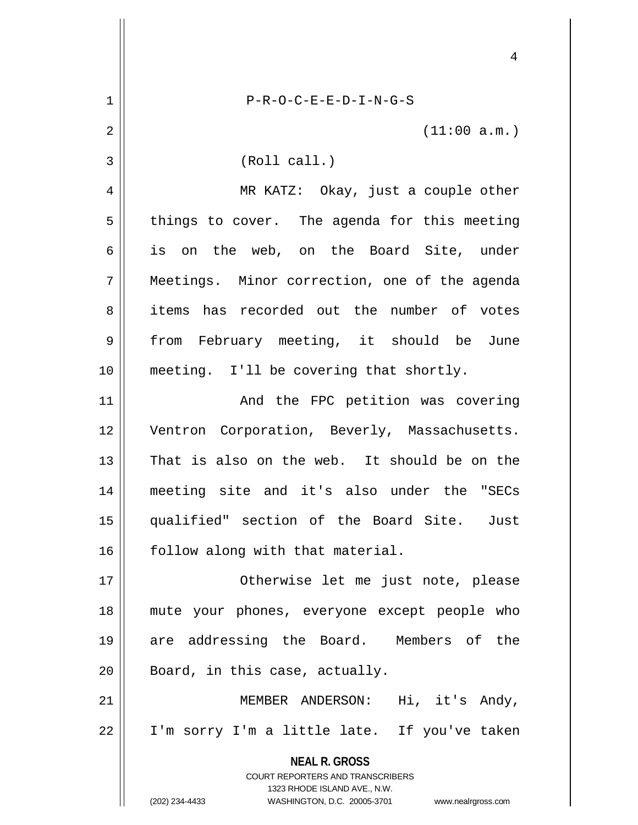|    | 4                                                                   |
|----|---------------------------------------------------------------------|
| 1  | $P-R-O-C-E-E-D-I-N-G-S$                                             |
| 2  | (11:00 a.m.)                                                        |
| 3  | (Roll call.)                                                        |
| 4  | MR KATZ: Okay, just a couple other                                  |
| 5  | things to cover. The agenda for this meeting                        |
| 6  | is on the web, on the Board Site, under                             |
| 7  | Meetings. Minor correction, one of the agenda                       |
| 8  | items has recorded out the number of votes                          |
| 9  | from February meeting, it should be June                            |
| 10 | meeting. I'll be covering that shortly.                             |
| 11 | And the FPC petition was covering                                   |
| 12 | Ventron Corporation, Beverly, Massachusetts.                        |
| 13 | That is also on the web. It should be on the                        |
| 14 | meeting site and it's also under the "SECs                          |
| 15 | qualified" section of the Board Site. Just                          |
| 16 | follow along with that material.                                    |
| 17 | Otherwise let me just note, please                                  |
| 18 | mute your phones, everyone except people who                        |
| 19 | are addressing the Board. Members of the                            |
| 20 | Board, in this case, actually.                                      |
| 21 | MEMBER ANDERSON: Hi, it's Andy,                                     |
| 22 | I'm sorry I'm a little late. If you've taken                        |
|    | <b>NEAL R. GROSS</b><br>COURT REPORTERS AND TRANSCRIBERS            |
|    | 1323 RHODE ISLAND AVE., N.W.                                        |
|    | (202) 234-4433<br>WASHINGTON, D.C. 20005-3701<br>www.nealrgross.com |

 $\mathsf{I}$ 

 $\parallel$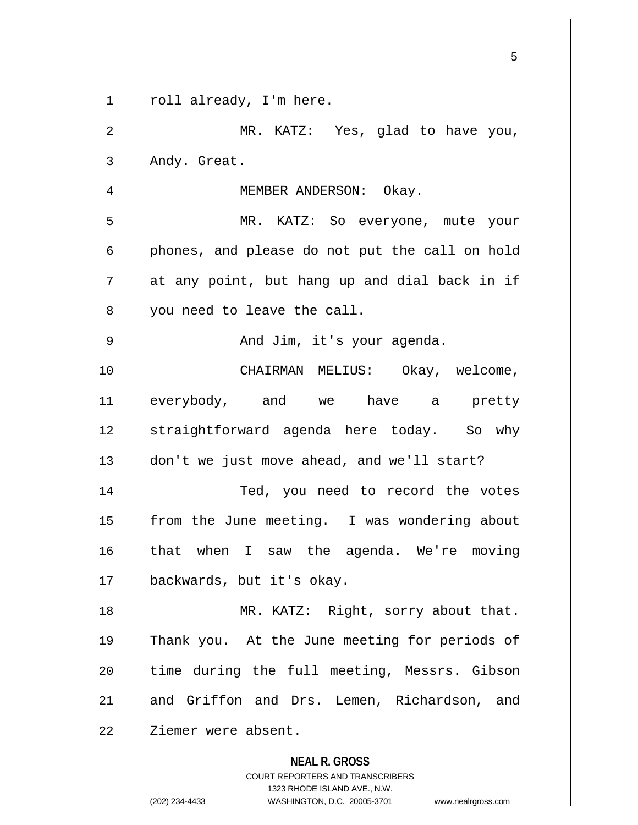|             | 5                                                                                                                                                               |
|-------------|-----------------------------------------------------------------------------------------------------------------------------------------------------------------|
| $\mathbf 1$ | roll already, I'm here.                                                                                                                                         |
| 2           | MR. KATZ: Yes, glad to have you,                                                                                                                                |
| 3           | Andy. Great.                                                                                                                                                    |
| 4           | MEMBER ANDERSON: Okay.                                                                                                                                          |
| 5           | MR. KATZ: So everyone, mute your                                                                                                                                |
| 6           | phones, and please do not put the call on hold                                                                                                                  |
| 7           | at any point, but hang up and dial back in if                                                                                                                   |
| 8           | you need to leave the call.                                                                                                                                     |
| 9           | And Jim, it's your agenda.                                                                                                                                      |
| 10          | CHAIRMAN MELIUS: Okay, welcome,                                                                                                                                 |
| 11          | everybody, and we have a pretty                                                                                                                                 |
| 12          | straightforward agenda here today. So why                                                                                                                       |
| 13          | don't we just move ahead, and we'll start?                                                                                                                      |
| 14          | Ted, you need to record the votes                                                                                                                               |
| 15          | from the June meeting. I was wondering about                                                                                                                    |
| 16          | that when I saw the agenda. We're moving                                                                                                                        |
| 17          | backwards, but it's okay.                                                                                                                                       |
| 18          | MR. KATZ: Right, sorry about that.                                                                                                                              |
| 19          | Thank you. At the June meeting for periods of                                                                                                                   |
| 20          | time during the full meeting, Messrs. Gibson                                                                                                                    |
| 21          | and Griffon and Drs. Lemen, Richardson, and                                                                                                                     |
| 22          | Ziemer were absent.                                                                                                                                             |
|             | <b>NEAL R. GROSS</b><br>COURT REPORTERS AND TRANSCRIBERS<br>1323 RHODE ISLAND AVE., N.W.<br>(202) 234-4433<br>WASHINGTON, D.C. 20005-3701<br>www.nealrgross.com |

 $\mathsf{l}$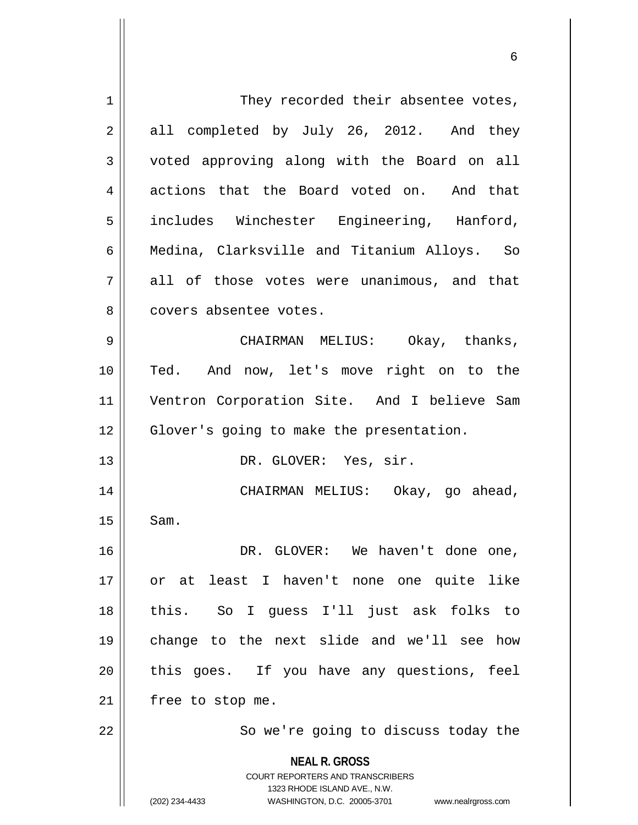| 1              | They recorded their absentee votes,                                                                                                                                    |
|----------------|------------------------------------------------------------------------------------------------------------------------------------------------------------------------|
| $\overline{2}$ | all completed by July 26, 2012. And they                                                                                                                               |
| $\mathfrak{Z}$ | voted approving along with the Board on all                                                                                                                            |
| 4              | actions that the Board voted on. And that                                                                                                                              |
| 5              | includes Winchester Engineering, Hanford,                                                                                                                              |
| 6              | Medina, Clarksville and Titanium Alloys. So                                                                                                                            |
| 7              | all of those votes were unanimous, and that                                                                                                                            |
| 8              | covers absentee votes.                                                                                                                                                 |
| 9              | CHAIRMAN MELIUS: Okay, thanks,                                                                                                                                         |
| 10             | Ted. And now, let's move right on to the                                                                                                                               |
| 11             | Ventron Corporation Site. And I believe Sam                                                                                                                            |
| 12             | Glover's going to make the presentation.                                                                                                                               |
| 13             | DR. GLOVER: Yes, sir.                                                                                                                                                  |
| 14             | CHAIRMAN MELIUS: Okay, go ahead,                                                                                                                                       |
| 15             | Sam.                                                                                                                                                                   |
| 16             | DR. GLOVER: We haven't done one,                                                                                                                                       |
| 17             | or at least I haven't none one quite like                                                                                                                              |
| 18             | this. So I guess I'll just ask folks to                                                                                                                                |
| 19             | change to the next slide and we'll see how                                                                                                                             |
| 20             | this goes. If you have any questions, feel                                                                                                                             |
| 21             | free to stop me.                                                                                                                                                       |
| 22             | So we're going to discuss today the                                                                                                                                    |
|                | <b>NEAL R. GROSS</b><br><b>COURT REPORTERS AND TRANSCRIBERS</b><br>1323 RHODE ISLAND AVE., N.W.<br>(202) 234-4433<br>WASHINGTON, D.C. 20005-3701<br>www.nealrgross.com |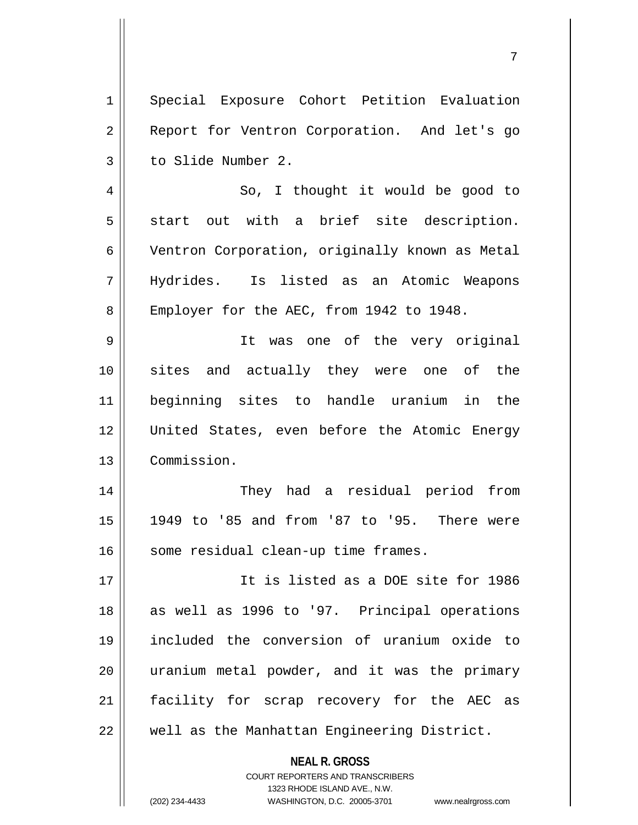**NEAL R. GROSS** 1 Special Exposure Cohort Petition Evaluation 2 || Report for Ventron Corporation. And let's go 3 | to Slide Number 2. 4 || So, I thought it would be good to  $5 \parallel$  start out with a brief site description. 6 | Ventron Corporation, originally known as Metal 7 Hydrides. Is listed as an Atomic Weapons 8 | Employer for the AEC, from 1942 to 1948. 9 || It was one of the very original 10 sites and actually they were one of the 11 beginning sites to handle uranium in the 12 United States, even before the Atomic Energy 13 Commission. 14 They had a residual period from 15 1949 to '85 and from '87 to '95. There were 16 | some residual clean-up time frames. 17 It is listed as a DOE site for 1986 18 || as well as 1996 to '97. Principal operations 19 included the conversion of uranium oxide to  $20$  || uranium metal powder, and it was the primary 21 || facility for scrap recovery for the AEC as 22 | well as the Manhattan Engineering District.

> COURT REPORTERS AND TRANSCRIBERS 1323 RHODE ISLAND AVE., N.W.

(202) 234-4433 WASHINGTON, D.C. 20005-3701 www.nealrgross.com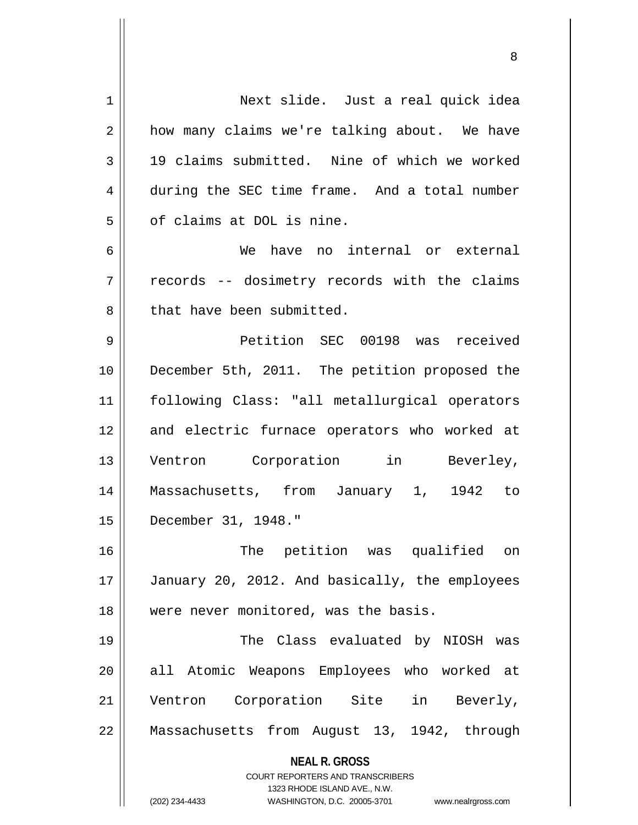| $\mathbf 1$ | Next slide. Just a real quick idea                                  |
|-------------|---------------------------------------------------------------------|
| 2           | how many claims we're talking about. We have                        |
| 3           | 19 claims submitted. Nine of which we worked                        |
| 4           | during the SEC time frame. And a total number                       |
| 5           | of claims at DOL is nine.                                           |
| 6           | We have no internal or external                                     |
| 7           | records -- dosimetry records with the claims                        |
| 8           | that have been submitted.                                           |
| 9           | Petition SEC 00198 was received                                     |
| 10          | December 5th, 2011. The petition proposed the                       |
| 11          | following Class: "all metallurgical operators                       |
| 12          | and electric furnace operators who worked at                        |
| 13          | Ventron Corporation in Beverley,                                    |
| 14          | Massachusetts, from January 1, 1942 to                              |
| 15          | December 31, 1948."                                                 |
| 16          | The petition was qualified on                                       |
| 17          | January 20, 2012. And basically, the employees                      |
| 18          | were never monitored, was the basis.                                |
| 19          | The Class evaluated by NIOSH was                                    |
| 20          | all Atomic Weapons Employees who worked at                          |
| 21          | Ventron Corporation Site in Beverly,                                |
| 22          | Massachusetts from August 13, 1942, through                         |
|             | <b>NEAL R. GROSS</b>                                                |
|             | <b>COURT REPORTERS AND TRANSCRIBERS</b>                             |
|             | 1323 RHODE ISLAND AVE., N.W.                                        |
|             | (202) 234-4433<br>WASHINGTON, D.C. 20005-3701<br>www.nealrgross.com |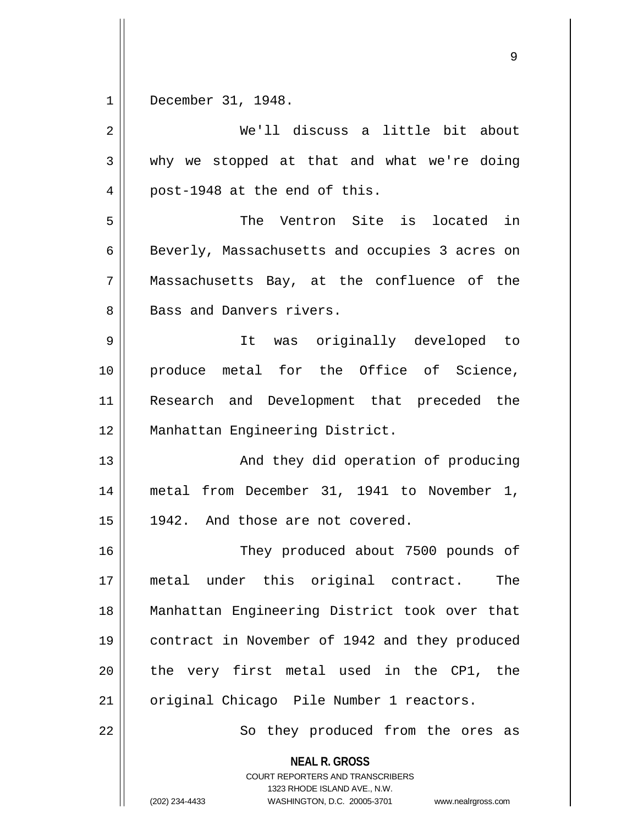1 December 31, 1948.

| $\overline{2}$ | We'll discuss a little bit about                                                                                                                                       |
|----------------|------------------------------------------------------------------------------------------------------------------------------------------------------------------------|
| 3              | why we stopped at that and what we're doing                                                                                                                            |
| 4              | post-1948 at the end of this.                                                                                                                                          |
| 5              | The Ventron Site is located in                                                                                                                                         |
| 6              | Beverly, Massachusetts and occupies 3 acres on                                                                                                                         |
| 7              | Massachusetts Bay, at the confluence of the                                                                                                                            |
| 8              | Bass and Danvers rivers.                                                                                                                                               |
| 9              | It was originally developed to                                                                                                                                         |
| 10             | produce metal for the Office of Science,                                                                                                                               |
| 11             | Research and Development that preceded the                                                                                                                             |
| 12             | Manhattan Engineering District.                                                                                                                                        |
| 13             | And they did operation of producing                                                                                                                                    |
| 14             | metal from December 31, 1941 to November 1,                                                                                                                            |
| 15             | 1942. And those are not covered.                                                                                                                                       |
| 16             | They produced about 7500 pounds of                                                                                                                                     |
| $17$           | metal under this original contract.<br>The                                                                                                                             |
| 18             | Manhattan Engineering District took over that                                                                                                                          |
| 19             | contract in November of 1942 and they produced                                                                                                                         |
| 20             | the very first metal used in the CP1, the                                                                                                                              |
| 21             | original Chicago Pile Number 1 reactors.                                                                                                                               |
| 22             | So they produced from the ores as                                                                                                                                      |
|                | <b>NEAL R. GROSS</b><br><b>COURT REPORTERS AND TRANSCRIBERS</b><br>1323 RHODE ISLAND AVE., N.W.<br>(202) 234-4433<br>WASHINGTON, D.C. 20005-3701<br>www.nealrgross.com |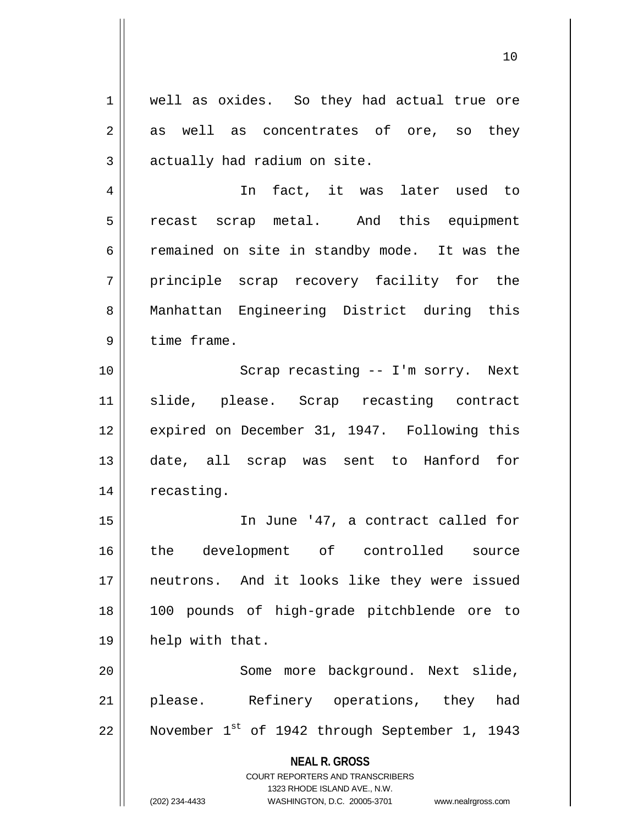**NEAL R. GROSS** COURT REPORTERS AND TRANSCRIBERS 1323 RHODE ISLAND AVE., N.W. 1 || well as oxides. So they had actual true ore  $2 \parallel$  as well as concentrates of ore, so they  $3$  || actually had radium on site. 4 In fact, it was later used to 5 || recast scrap metal. And this equipment 6  $\parallel$  remained on site in standby mode. It was the 7 || principle scrap recovery facility for the 8 Manhattan Engineering District during this  $9$  | time frame. 10 || Scrap recasting -- I'm sorry. Next 11 slide, please. Scrap recasting contract 12 || expired on December 31, 1947. Following this 13 date, all scrap was sent to Hanford for 14 | recasting. 15 In June '47, a contract called for 16 the development of controlled source 17 neutrons. And it looks like they were issued 18 100 pounds of high-grade pitchblende ore to 19 help with that. 20 || Some more background. Next slide, 21 || please. Refinery operations, they had 22  $\parallel$  November 1st of 1942 through September 1, 1943

(202) 234-4433 WASHINGTON, D.C. 20005-3701 www.nealrgross.com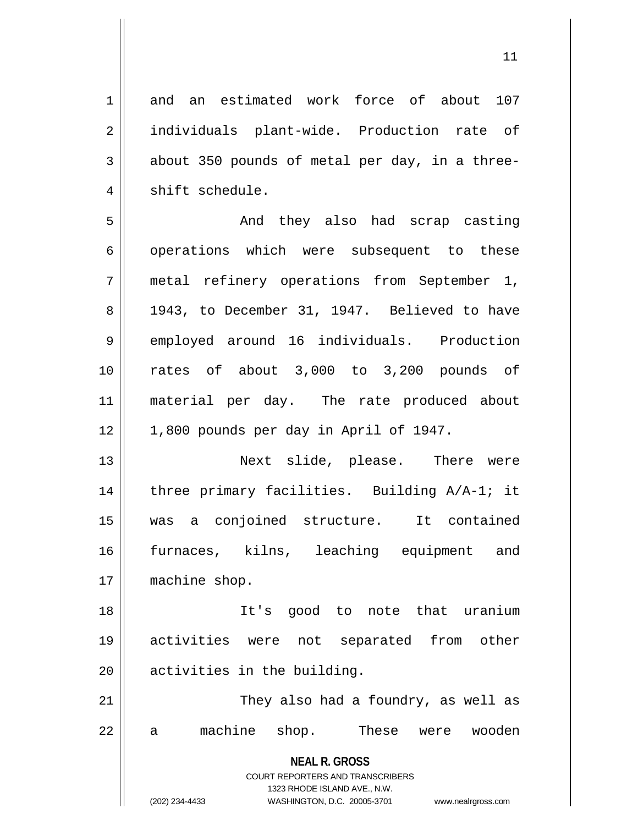**NEAL R. GROSS** COURT REPORTERS AND TRANSCRIBERS 1 and an estimated work force of about 107 2 || individuals plant-wide. Production rate of  $3 \parallel$  about 350 pounds of metal per day, in a three- $4 \parallel$  shift schedule. 5 And they also had scrap casting 6 | operations which were subsequent to these 7 metal refinery operations from September 1, 8 1943, to December 31, 1947. Believed to have 9 employed around 16 individuals. Production 10 rates of about 3,000 to 3,200 pounds of 11 material per day. The rate produced about  $12 \parallel 1,800$  pounds per day in April of 1947. 13 Next slide, please. There were 14 || three primary facilities. Building A/A-1; it 15 was a conjoined structure. It contained 16 furnaces, kilns, leaching equipment and 17 | machine shop. 18 It's good to note that uranium 19 activities were not separated from other 20 | activities in the building. 21 || They also had a foundry, as well as 22 a machine shop. These were wooden

1323 RHODE ISLAND AVE., N.W.

(202) 234-4433 WASHINGTON, D.C. 20005-3701 www.nealrgross.com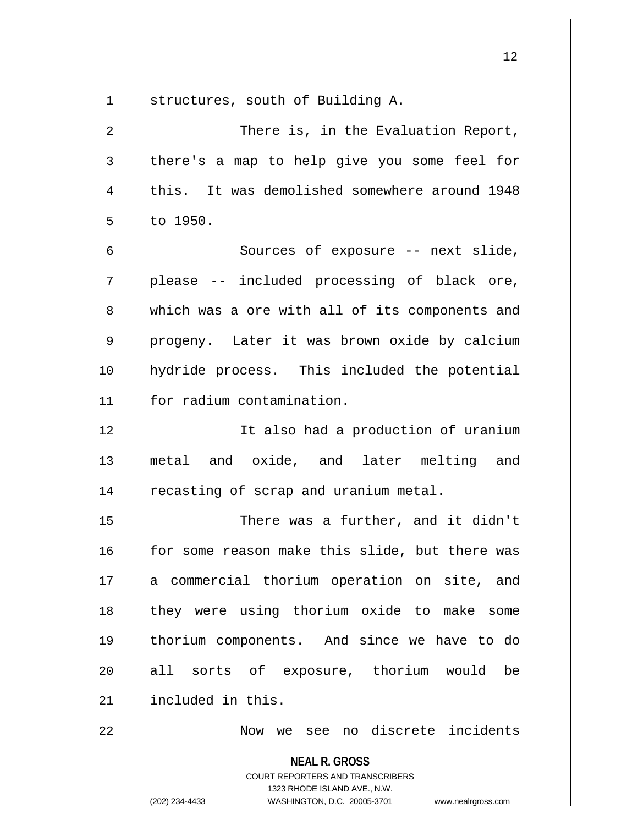**NEAL R. GROSS** COURT REPORTERS AND TRANSCRIBERS 1 | structures, south of Building A. 2 || There is, in the Evaluation Report,  $3 \parallel$  there's a map to help give you some feel for 4 this. It was demolished somewhere around 1948  $5 \parallel$  to 1950. 6 || Sources of exposure -- next slide,  $7 \parallel$  please -- included processing of black ore, 8 which was a ore with all of its components and 9 || progeny. Later it was brown oxide by calcium 10 hydride process. This included the potential 11 for radium contamination. 12 || The also had a production of uranium 13 metal and oxide, and later melting and 14 | recasting of scrap and uranium metal. 15 There was a further, and it didn't 16 for some reason make this slide, but there was 17 || a commercial thorium operation on site, and 18 || they were using thorium oxide to make some 19 thorium components. And since we have to do 20 all sorts of exposure, thorium would be 21 | included in this. 22 || Now we see no discrete incidents

1323 RHODE ISLAND AVE., N.W.

<sup>(202) 234-4433</sup> WASHINGTON, D.C. 20005-3701 www.nealrgross.com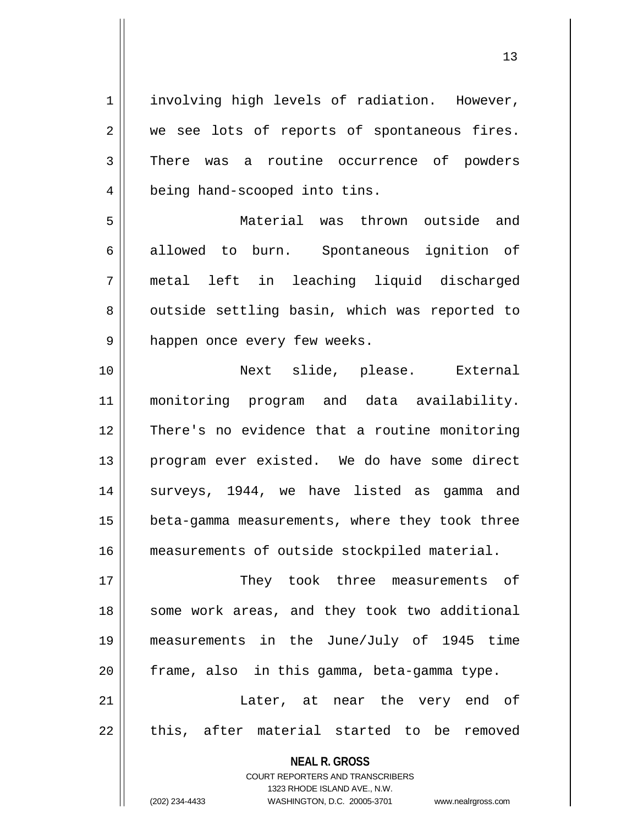1 || involving high levels of radiation. However, 2 we see lots of reports of spontaneous fires. 3 There was a routine occurrence of powders 4 | being hand-scooped into tins. 5 Material was thrown outside and 6 allowed to burn. Spontaneous ignition of 7 metal left in leaching liquid discharged 8 || outside settling basin, which was reported to 9 || happen once every few weeks. 10 Next slide, please. External 11 monitoring program and data availability. 12 There's no evidence that a routine monitoring 13 || program ever existed. We do have some direct 14 || surveys, 1944, we have listed as gamma and 15 | beta-gamma measurements, where they took three 16 measurements of outside stockpiled material.

17 They took three measurements of 18 || some work areas, and they took two additional 19 measurements in the June/July of 1945 time  $20$  | frame, also in this gamma, beta-gamma type. 21 Later, at near the very end of

 $22$  || this, after material started to be removed

**NEAL R. GROSS**

COURT REPORTERS AND TRANSCRIBERS 1323 RHODE ISLAND AVE., N.W. (202) 234-4433 WASHINGTON, D.C. 20005-3701 www.nealrgross.com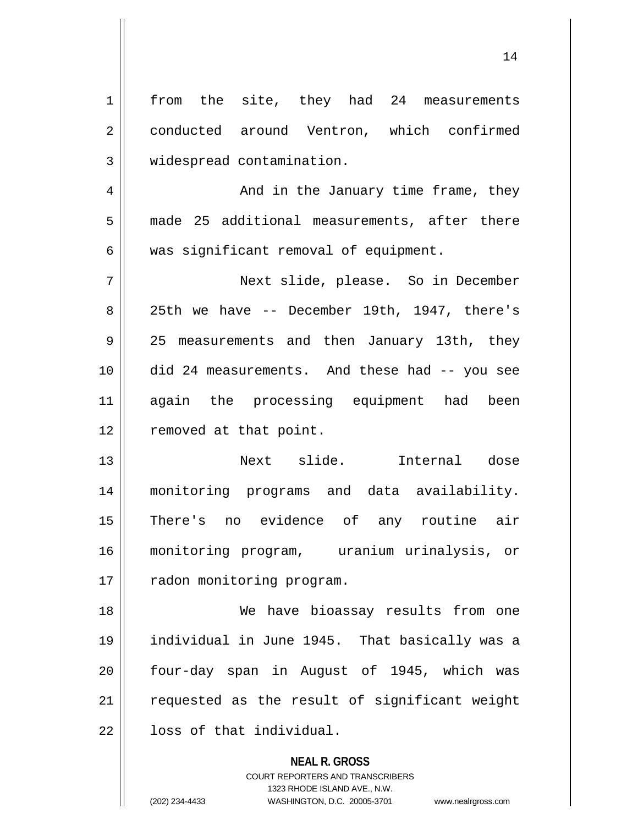| 1           | the site, they had 24 measurements<br>from    |
|-------------|-----------------------------------------------|
| 2           | conducted around Ventron, which confirmed     |
| 3           | widespread contamination.                     |
| 4           | And in the January time frame, they           |
| 5           | made 25 additional measurements, after there  |
| 6           | was significant removal of equipment.         |
| 7           | Next slide, please. So in December            |
| 8           | 25th we have -- December 19th, 1947, there's  |
| $\mathsf 9$ | 25 measurements and then January 13th, they   |
| 10          | did 24 measurements. And these had -- you see |
| 11          | again the processing equipment had been       |
| 12          | removed at that point.                        |
| 13          | Next slide.<br>Internal dose                  |
| 14          | monitoring programs and data availability.    |
| 15          | There's no evidence of any routine air        |
| 16          | monitoring program, uranium urinalysis, or    |
| 17          | radon monitoring program.                     |
| 18          | We have bioassay results from one             |
| 19          | individual in June 1945. That basically was a |
| 20          | four-day span in August of 1945, which was    |
| 21          | requested as the result of significant weight |
| 22          | loss of that individual.                      |
|             | <b>NEAL R. GROSS</b>                          |

COURT REPORTERS AND TRANSCRIBERS 1323 RHODE ISLAND AVE., N.W.

(202) 234-4433 WASHINGTON, D.C. 20005-3701 www.nealrgross.com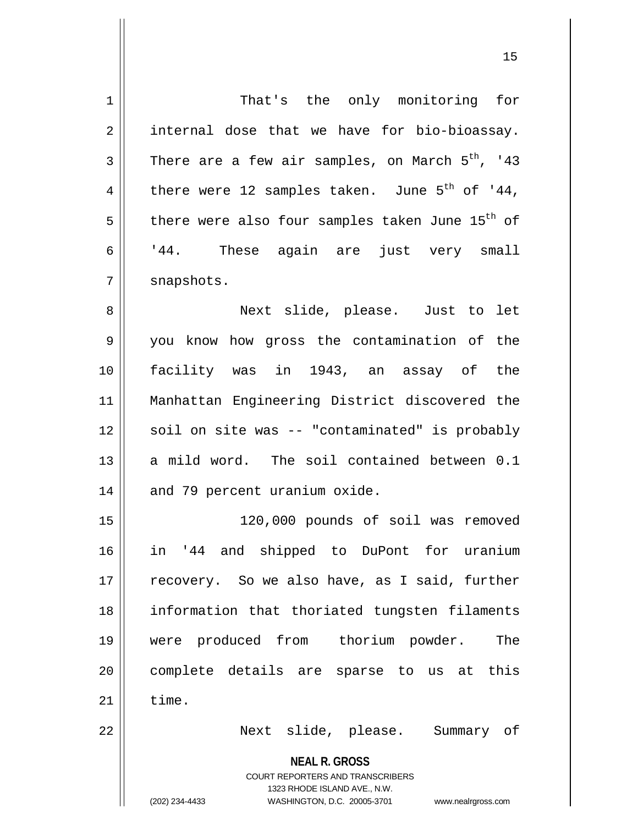| 1           | That's the only monitoring for                                                                                                                                  |
|-------------|-----------------------------------------------------------------------------------------------------------------------------------------------------------------|
| 2           | internal dose that we have for bio-bioassay.                                                                                                                    |
| 3           | There are a few air samples, on March 5 <sup>th</sup> , '43                                                                                                     |
| 4           | there were 12 samples taken. June $5^{th}$ of '44,                                                                                                              |
| 5           | there were also four samples taken June 15 <sup>th</sup> of                                                                                                     |
| 6           | '44. These again are just very small                                                                                                                            |
| 7           | snapshots.                                                                                                                                                      |
| 8           | Next slide, please. Just to let                                                                                                                                 |
| $\mathsf 9$ | you know how gross the contamination of the                                                                                                                     |
| 10          | facility was in 1943, an assay of the                                                                                                                           |
| 11          | Manhattan Engineering District discovered the                                                                                                                   |
| 12          | soil on site was -- "contaminated" is probably                                                                                                                  |
| 13          | a mild word. The soil contained between 0.1                                                                                                                     |
| 14          | and 79 percent uranium oxide.                                                                                                                                   |
| 15          | 120,000 pounds of soil was removed                                                                                                                              |
| 16          | and shipped to DuPont for uranium<br>.44<br>ın                                                                                                                  |
| 17          | recovery. So we also have, as I said, further                                                                                                                   |
| 18          | information that thoriated tungsten filaments                                                                                                                   |
| 19          | were produced from thorium powder.<br>The                                                                                                                       |
| 20          | complete details are sparse to us at this                                                                                                                       |
| 21          | time.                                                                                                                                                           |
| 22          | Next slide, please. Summary of                                                                                                                                  |
|             | <b>NEAL R. GROSS</b><br>COURT REPORTERS AND TRANSCRIBERS<br>1323 RHODE ISLAND AVE., N.W.<br>(202) 234-4433<br>WASHINGTON, D.C. 20005-3701<br>www.nealrgross.com |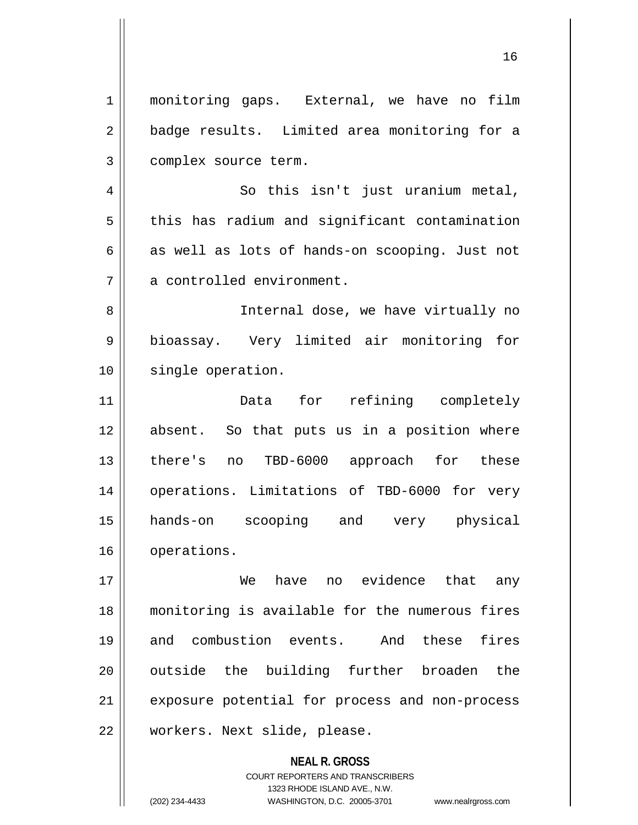1 monitoring gaps. External, we have no film 2 || badge results. Limited area monitoring for a 3 | complex source term.

4 || So this isn't just uranium metal,  $5 \parallel$  this has radium and significant contamination  $6 \parallel$  as well as lots of hands-on scooping. Just not 7 || a controlled environment.

8 || Internal dose, we have virtually no 9 || bioassay. Very limited air monitoring for 10 || single operation.

11 Data for refining completely 12 absent. So that puts us in a position where 13 || there's no TBD-6000 approach for these 14 || operations. Limitations of TBD-6000 for very 15 hands-on scooping and very physical 16 | operations.

17 We have no evidence that any 18 monitoring is available for the numerous fires 19 and combustion events. And these fires 20 || outside the building further broaden the 21 | exposure potential for process and non-process 22 | workers. Next slide, please.

> **NEAL R. GROSS** COURT REPORTERS AND TRANSCRIBERS 1323 RHODE ISLAND AVE., N.W. (202) 234-4433 WASHINGTON, D.C. 20005-3701 www.nealrgross.com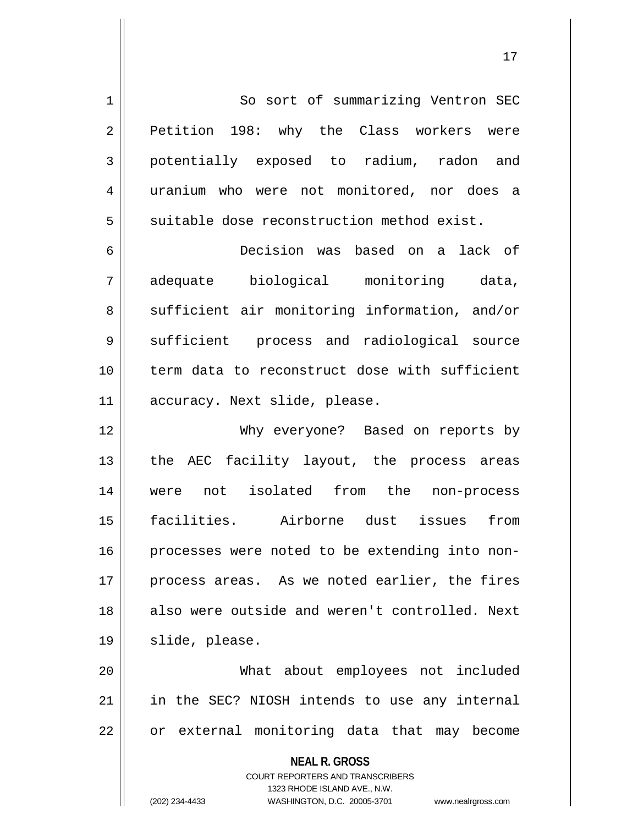1 So sort of summarizing Ventron SEC 2 Petition 198: why the Class workers were 3 potentially exposed to radium, radon and 4 || uranium who were not monitored, nor does a  $5 \parallel$  suitable dose reconstruction method exist.

6 Decision was based on a lack of 7 adequate biological monitoring data, 8 || sufficient air monitoring information, and/or 9 || sufficient process and radiological source 10 term data to reconstruct dose with sufficient 11 | accuracy. Next slide, please.

12 Why everyone? Based on reports by 13 || the AEC facility layout, the process areas 14 || were not isolated from the non-process 15 facilities. Airborne dust issues from 16 || processes were noted to be extending into non-17 process areas. As we noted earlier, the fires 18 also were outside and weren't controlled. Next 19 || slide, please.

20 What about employees not included 21 || in the SEC? NIOSH intends to use any internal  $22$  || or external monitoring data that may become

> **NEAL R. GROSS** COURT REPORTERS AND TRANSCRIBERS 1323 RHODE ISLAND AVE., N.W. (202) 234-4433 WASHINGTON, D.C. 20005-3701 www.nealrgross.com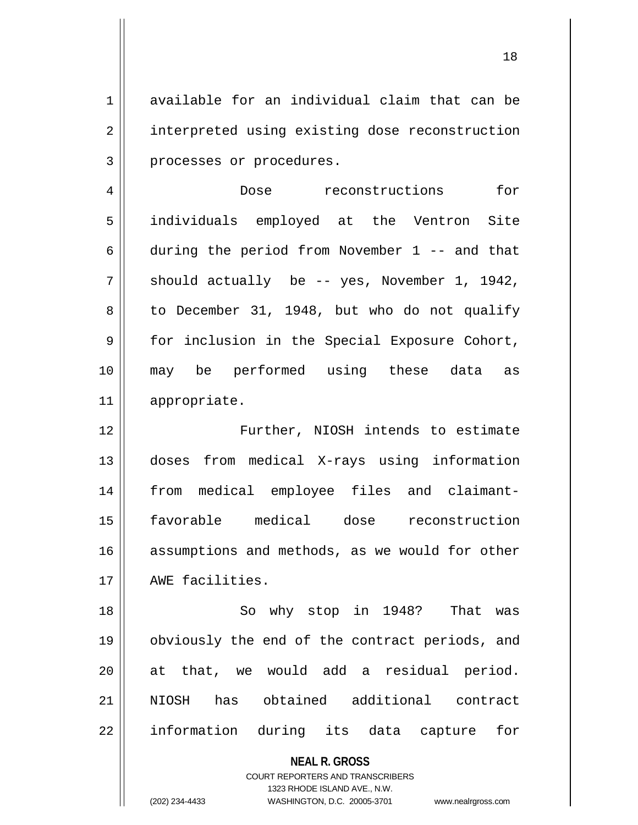1 available for an individual claim that can be 2 | interpreted using existing dose reconstruction 3 | processes or procedures.

4 Dose reconstructions for 5 individuals employed at the Ventron Site 6 during the period from November 1 -- and that  $7 \parallel$  should actually be -- yes, November 1, 1942,  $8 \parallel$  to December 31, 1948, but who do not qualify 9 || for inclusion in the Special Exposure Cohort, 10 may be performed using these data as 11 appropriate.

12 Further, NIOSH intends to estimate 13 doses from medical X-rays using information 14 from medical employee files and claimant-15 favorable medical dose reconstruction 16 || assumptions and methods, as we would for other 17 || AWE facilities.

18 || So why stop in 1948? That was 19 obviously the end of the contract periods, and 20 at that, we would add a residual period. 21 NIOSH has obtained additional contract 22 || information during its data capture for

> **NEAL R. GROSS** COURT REPORTERS AND TRANSCRIBERS 1323 RHODE ISLAND AVE., N.W.

(202) 234-4433 WASHINGTON, D.C. 20005-3701 www.nealrgross.com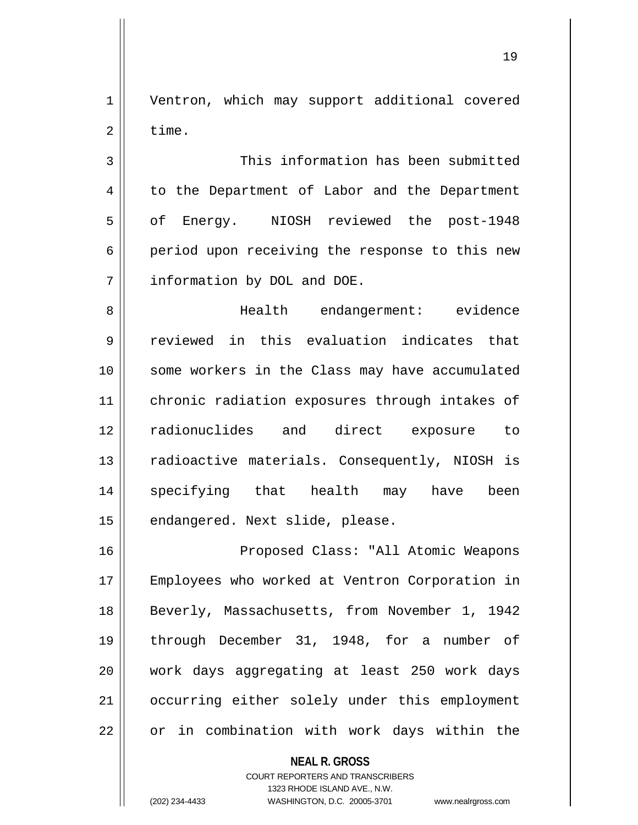1 | Ventron, which may support additional covered  $2 \parallel$  time.

3 || This information has been submitted 4 | to the Department of Labor and the Department 5 || of Energy. NIOSH reviewed the post-1948 6 period upon receiving the response to this new 7 | information by DOL and DOE.

8 Health endangerment: evidence 9 || reviewed in this evaluation indicates that 10 some workers in the Class may have accumulated 11 || chronic radiation exposures through intakes of 12 radionuclides and direct exposure to 13 || radioactive materials. Consequently, NIOSH is 14 specifying that health may have been 15 | endangered. Next slide, please.

16 Proposed Class: "All Atomic Weapons 17 || Employees who worked at Ventron Corporation in 18 || Beverly, Massachusetts, from November 1, 1942 19 through December 31, 1948, for a number of 20 work days aggregating at least 250 work days 21 | occurring either solely under this employment  $22$  | or in combination with work days within the

> **NEAL R. GROSS** COURT REPORTERS AND TRANSCRIBERS 1323 RHODE ISLAND AVE., N.W. (202) 234-4433 WASHINGTON, D.C. 20005-3701 www.nealrgross.com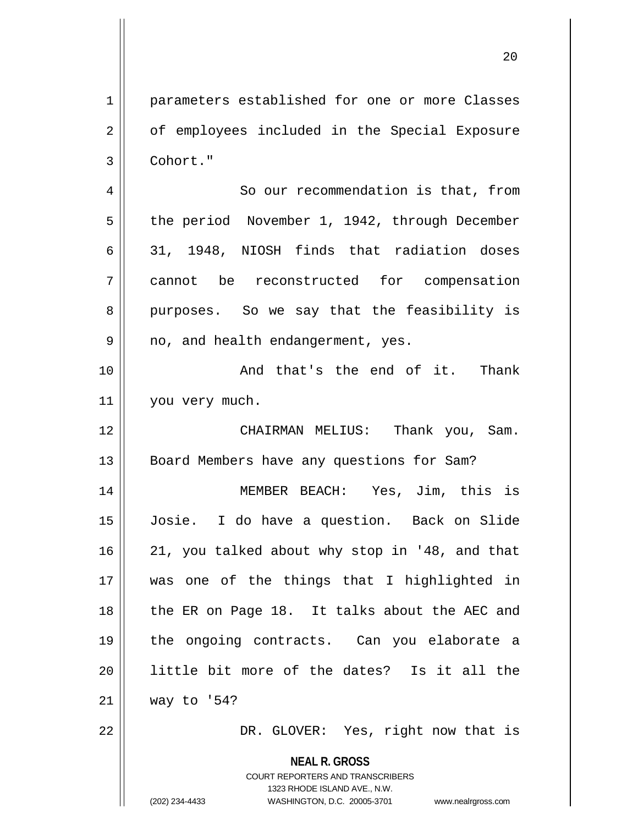1 parameters established for one or more Classes 2 || of employees included in the Special Exposure 3 Cohort." 4 | So our recommendation is that, from

5 | the period November 1, 1942, through December 6 31, 1948, NIOSH finds that radiation doses 7 cannot be reconstructed for compensation 8 || purposes. So we say that the feasibility is 9 || no, and health endangerment, yes.

10 || Thank And that's the end of it. Thank 11 | you very much.

12 CHAIRMAN MELIUS: Thank you, Sam. 13 | Board Members have any questions for Sam?

14 MEMBER BEACH: Yes, Jim, this is 15 Josie. I do have a question. Back on Slide 16 || 21, you talked about why stop in '48, and that 17 was one of the things that I highlighted in 18 || the ER on Page 18. It talks about the AEC and 19 the ongoing contracts. Can you elaborate a 20 || little bit more of the dates? Is it all the 21 way to '54?

22 || DR. GLOVER: Yes, right now that is

**NEAL R. GROSS** COURT REPORTERS AND TRANSCRIBERS

1323 RHODE ISLAND AVE., N.W. (202) 234-4433 WASHINGTON, D.C. 20005-3701 www.nealrgross.com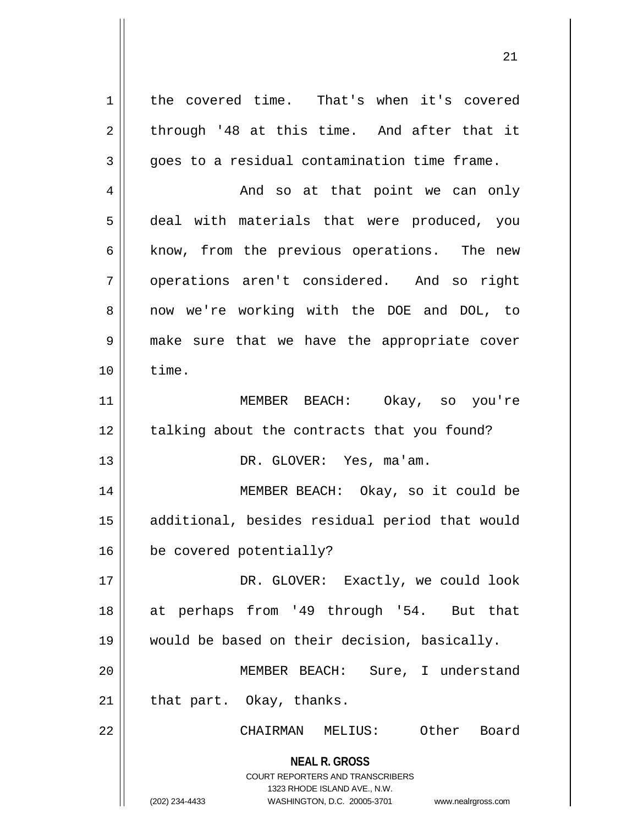**NEAL R. GROSS** COURT REPORTERS AND TRANSCRIBERS 1323 RHODE ISLAND AVE., N.W. (202) 234-4433 WASHINGTON, D.C. 20005-3701 www.nealrgross.com 1 | the covered time. That's when it's covered  $2 \parallel$  through '48 at this time. And after that it  $3 \parallel$  goes to a residual contamination time frame. 4 And so at that point we can only 5 || deal with materials that were produced, you 6 || know, from the previous operations. The new 7 || operations aren't considered. And so right 8 || now we're working with the DOE and DOL, to 9 make sure that we have the appropriate cover  $10 \parallel$  time. 11 MEMBER BEACH: Okay, so you're 12 || talking about the contracts that you found? 13 || DR. GLOVER: Yes, ma'am. 14 MEMBER BEACH: Okay, so it could be 15 additional, besides residual period that would 16 | be covered potentially? 17 DR. GLOVER: Exactly, we could look 18 at perhaps from '49 through '54. But that 19 would be based on their decision, basically. 20 || MEMBER BEACH: Sure, I understand  $21$  | that part. Okay, thanks. 22 CHAIRMAN MELIUS: Other Board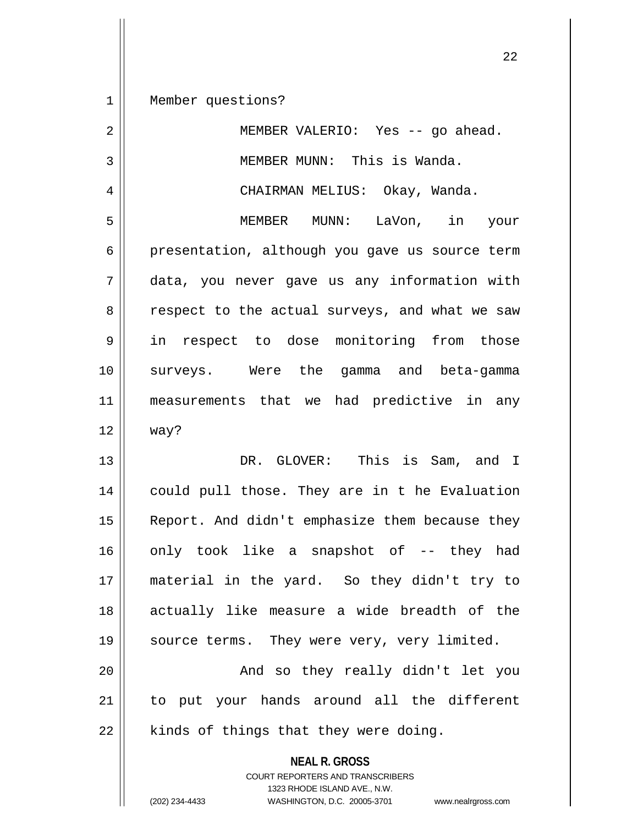1 | Member questions?

| $\overline{2}$ | MEMBER VALERIO: Yes -- go ahead.                                |
|----------------|-----------------------------------------------------------------|
| $\mathbf{3}$   | MEMBER MUNN: This is Wanda.                                     |
| 4              | CHAIRMAN MELIUS: Okay, Wanda.                                   |
| 5              | MEMBER MUNN: LaVon, in your                                     |
| $\epsilon$     | presentation, although you gave us source term                  |
| 7              | data, you never gave us any information with                    |
| 8              | respect to the actual surveys, and what we saw                  |
| 9              | in respect to dose monitoring from those                        |
| 10             | surveys. Were the gamma and beta-gamma                          |
| 11             | measurements that we had predictive in any                      |
| 12             | way?                                                            |
| 13             | DR. GLOVER: This is Sam, and I                                  |
| 14             | could pull those. They are in t he Evaluation                   |
| 15             | Report. And didn't emphasize them because they                  |
| 16             | only took like a snapshot of -- they had                        |
| 17             | material in the yard. So they didn't try to                     |
| 18             | actually like measure a wide breadth of the                     |
| 19             | source terms. They were very, very limited.                     |
| 20             | And so they really didn't let you                               |
| 21             | to put your hands around all the different                      |
| 22             | kinds of things that they were doing.                           |
|                | <b>NEAL R. GROSS</b><br><b>COURT REPORTERS AND TRANSCRIBERS</b> |

1323 RHODE ISLAND AVE., N.W.

22

 $\mathop{\text{||}}$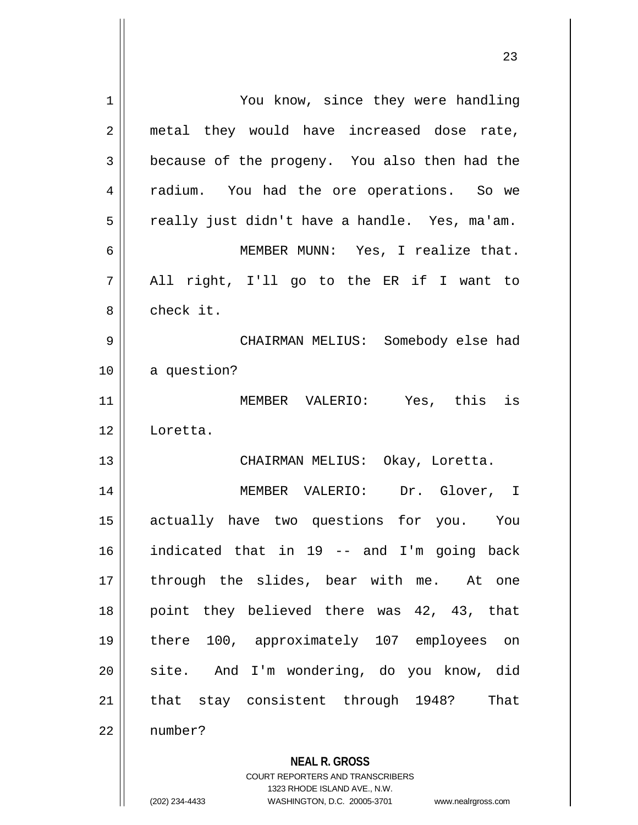| 1              | You know, since they were handling                                  |
|----------------|---------------------------------------------------------------------|
| $\overline{2}$ | metal they would have increased dose rate,                          |
| 3              | because of the progeny. You also then had the                       |
| 4              | radium. You had the ore operations. So we                           |
| 5              | really just didn't have a handle. Yes, ma'am.                       |
| 6              | MEMBER MUNN: Yes, I realize that.                                   |
| 7              | All right, I'll go to the ER if I want to                           |
| 8              | check it.                                                           |
| 9              | CHAIRMAN MELIUS: Somebody else had                                  |
| 10             | a question?                                                         |
| 11             | MEMBER VALERIO: Yes, this is                                        |
| 12             | Loretta.                                                            |
| 13             | CHAIRMAN MELIUS: Okay, Loretta.                                     |
| 14             | MEMBER VALERIO: Dr. Glover, I                                       |
| 15             | actually have two questions for you. You                            |
| 16             | indicated that in 19 -- and I'm going back                          |
| 17             | through the slides, bear with me. At one                            |
| 18             | point they believed there was 42, 43, that                          |
| 19             | there 100, approximately 107 employees on                           |
| 20             | site. And I'm wondering, do you know, did                           |
| 21             | that stay consistent through 1948?<br>That                          |
| 22             | number?                                                             |
|                |                                                                     |
|                | <b>NEAL R. GROSS</b><br><b>COURT REPORTERS AND TRANSCRIBERS</b>     |
|                | 1323 RHODE ISLAND AVE., N.W.                                        |
|                | (202) 234-4433<br>WASHINGTON, D.C. 20005-3701<br>www.nealrgross.com |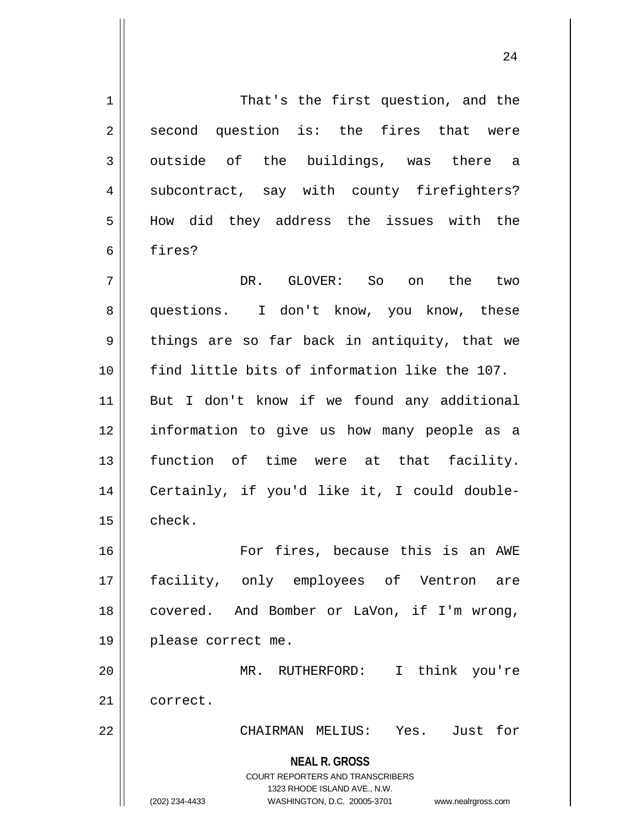**NEAL R. GROSS** COURT REPORTERS AND TRANSCRIBERS 1323 RHODE ISLAND AVE., N.W. (202) 234-4433 WASHINGTON, D.C. 20005-3701 www.nealrgross.com 1 | That's the first question, and the  $2 \parallel$  second question is: the fires that were  $3 \parallel$  outside of the buildings, was there a 4 || subcontract, say with county firefighters? 5 How did they address the issues with the 6 fires? 7 DR. GLOVER: So on the two 8 || questions. I don't know, you know, these 9 || things are so far back in antiquity, that we 10 find little bits of information like the 107. 11 But I don't know if we found any additional 12 information to give us how many people as a 13 || function of time were at that facility. 14 Certainly, if you'd like it, I could double- $15$   $\parallel$  check. 16 For fires, because this is an AWE 17 facility, only employees of Ventron are 18 covered. And Bomber or LaVon, if I'm wrong, 19 please correct me. 20 MR. RUTHERFORD: I think you're 21 | correct. 22 CHAIRMAN MELIUS: Yes. Just for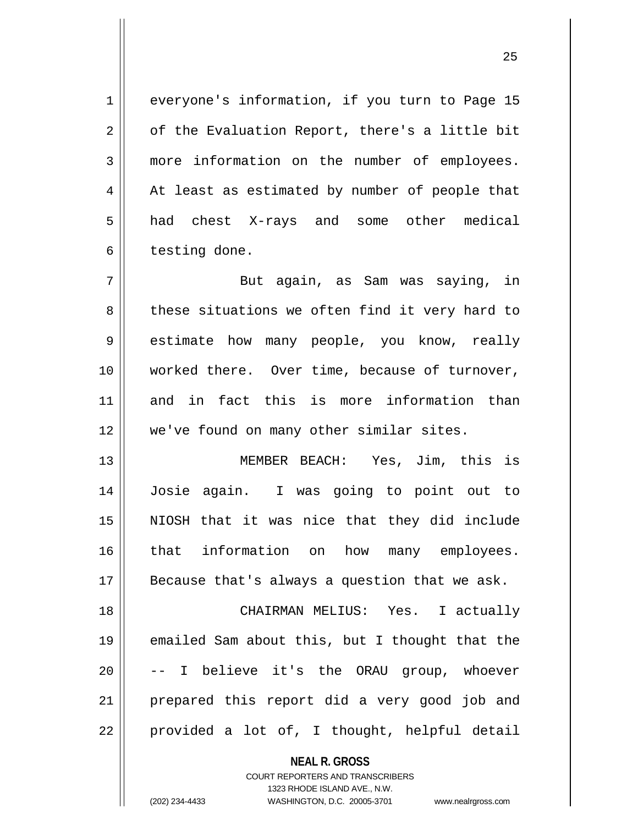1 everyone's information, if you turn to Page 15  $2 \parallel$  of the Evaluation Report, there's a little bit 3 more information on the number of employees.  $4 \parallel$  At least as estimated by number of people that 5 | had chest X-rays and some other medical  $6 \parallel$  testing done.

7 But again, as Sam was saying, in 8 these situations we often find it very hard to 9 || estimate how many people, you know, really 10 || worked there. Over time, because of turnover, 11 and in fact this is more information than 12 || we've found on many other similar sites.

13 MEMBER BEACH: Yes, Jim, this is 14 Josie again. I was going to point out to 15 NIOSH that it was nice that they did include 16 || that information on how many employees.  $17$  | Because that's always a question that we ask.

18 CHAIRMAN MELIUS: Yes. I actually 19 emailed Sam about this, but I thought that the 20 || -- I believe it's the ORAU group, whoever 21 || prepared this report did a very good job and  $22 \parallel$  provided a lot of, I thought, helpful detail

> **NEAL R. GROSS** COURT REPORTERS AND TRANSCRIBERS 1323 RHODE ISLAND AVE., N.W. (202) 234-4433 WASHINGTON, D.C. 20005-3701 www.nealrgross.com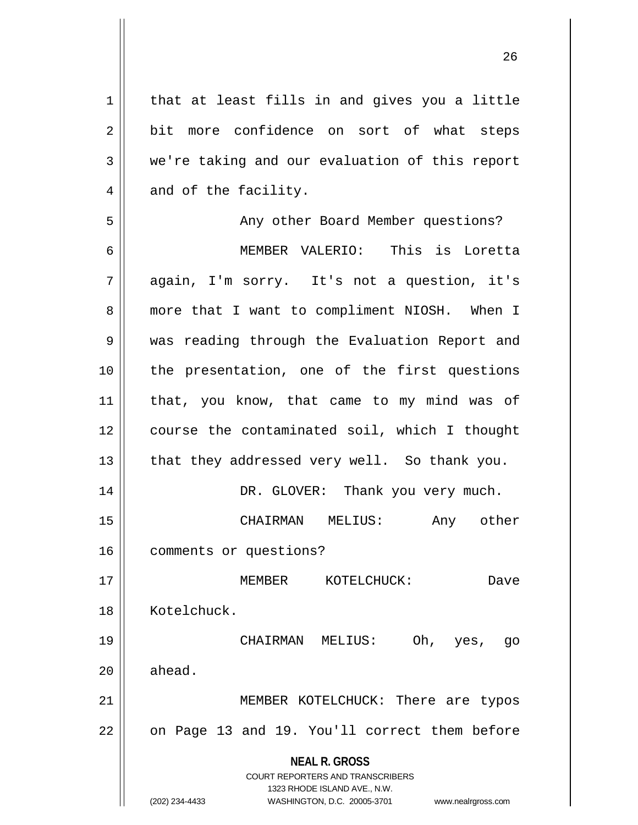**NEAL R. GROSS** COURT REPORTERS AND TRANSCRIBERS 1323 RHODE ISLAND AVE., N.W. (202) 234-4433 WASHINGTON, D.C. 20005-3701 www.nealrgross.com  $1$  that at least fills in and gives you a little 2 bit more confidence on sort of what steps  $3 \parallel$  we're taking and our evaluation of this report  $4 \parallel$  and of the facility. 5 || Any other Board Member questions? 6 MEMBER VALERIO: This is Loretta 7 again, I'm sorry. It's not a question, it's 8 || more that I want to compliment NIOSH. When I 9 || was reading through the Evaluation Report and 10 || the presentation, one of the first questions 11 || that, you know, that came to my mind was of 12 || course the contaminated soil, which I thought  $13$  || that they addressed very well. So thank you. 14 DR. GLOVER: Thank you very much. 15 CHAIRMAN MELIUS: Any other 16 | comments or questions? 17 MEMBER KOTELCHUCK: Dave 18 || Kotelchuck. 19 CHAIRMAN MELIUS: Oh, yes, go  $20$   $\parallel$  ahead. 21 || MEMBER KOTELCHUCK: There are typos  $22 \parallel$  on Page 13 and 19. You'll correct them before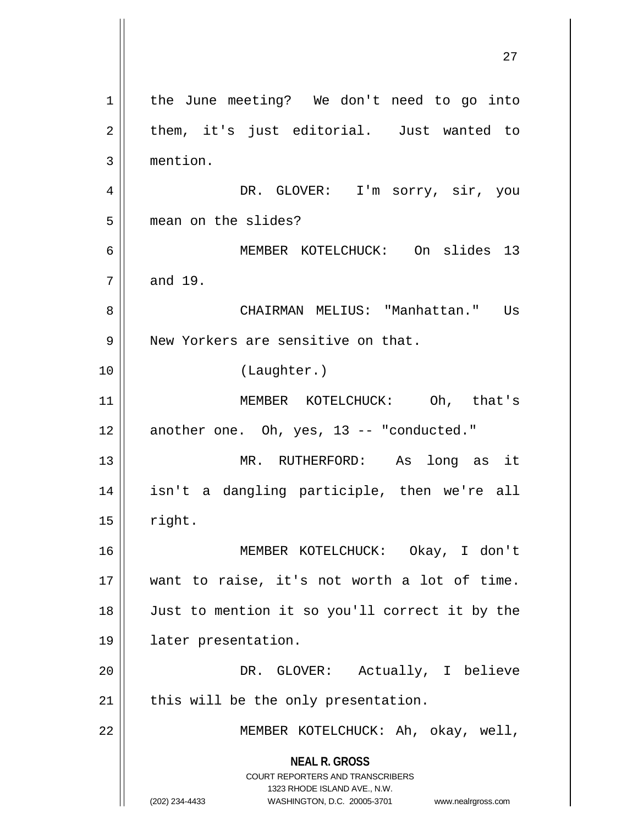**NEAL R. GROSS** COURT REPORTERS AND TRANSCRIBERS 1323 RHODE ISLAND AVE., N.W. (202) 234-4433 WASHINGTON, D.C. 20005-3701 www.nealrgross.com 27 1 | the June meeting? We don't need to go into  $2 \parallel$  them, it's just editorial. Just wanted to 3 mention. 4 DR. GLOVER: I'm sorry, sir, you 5 | mean on the slides? 6 MEMBER KOTELCHUCK: On slides 13  $7 \parallel$  and 19. 8 CHAIRMAN MELIUS: "Manhattan." Us 9 New Yorkers are sensitive on that. 10 (Laughter.) 11 MEMBER KOTELCHUCK: Oh, that's  $12$  || another one. Oh, yes, 13 -- "conducted." 13 MR. RUTHERFORD: As long as it 14 isn't a dangling participle, then we're all  $15$  || right. 16 MEMBER KOTELCHUCK: Okay, I don't 17 want to raise, it's not worth a lot of time. 18 Just to mention it so you'll correct it by the 19 later presentation. 20 DR. GLOVER: Actually, I believe  $21$  | this will be the only presentation. 22 MEMBER KOTELCHUCK: Ah, okay, well,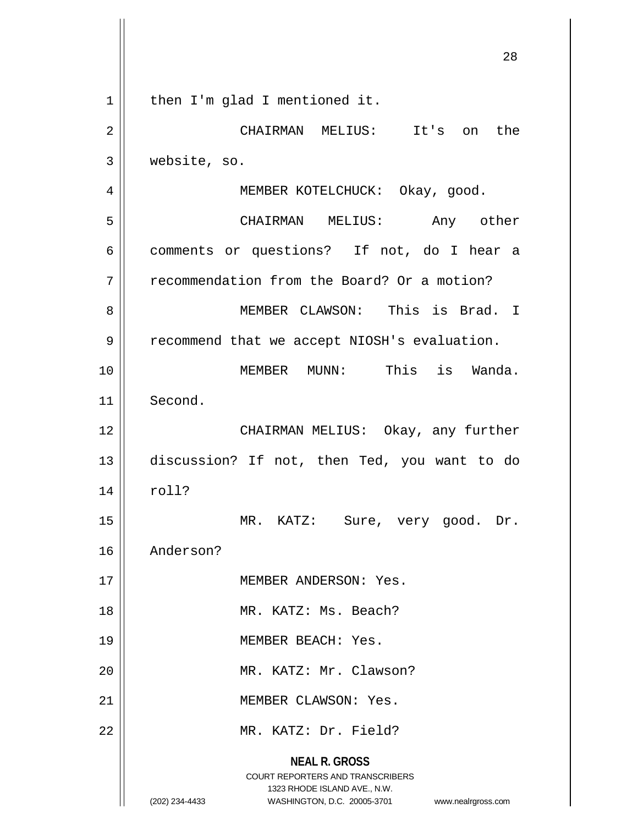|    | 28                                                                                                                                                                     |
|----|------------------------------------------------------------------------------------------------------------------------------------------------------------------------|
| 1  | then I'm glad I mentioned it.                                                                                                                                          |
| 2  | CHAIRMAN MELIUS: It's on<br>the                                                                                                                                        |
| 3  | website, so.                                                                                                                                                           |
| 4  | MEMBER KOTELCHUCK: Okay, good.                                                                                                                                         |
| 5  | CHAIRMAN MELIUS:<br>Any other                                                                                                                                          |
| 6  | comments or questions? If not, do I hear a                                                                                                                             |
| 7  | recommendation from the Board? Or a motion?                                                                                                                            |
| 8  | MEMBER CLAWSON: This is Brad. I                                                                                                                                        |
| 9  | recommend that we accept NIOSH's evaluation.                                                                                                                           |
| 10 | MEMBER MUNN: This is Wanda.                                                                                                                                            |
| 11 | Second.                                                                                                                                                                |
| 12 | CHAIRMAN MELIUS: Okay, any further                                                                                                                                     |
| 13 | discussion? If not, then Ted, you want to do                                                                                                                           |
| 14 | roll?                                                                                                                                                                  |
| 15 | MR. KATZ: Sure, very good. Dr.                                                                                                                                         |
| 16 | Anderson?                                                                                                                                                              |
| 17 | MEMBER ANDERSON: Yes.                                                                                                                                                  |
| 18 | MR. KATZ: Ms. Beach?                                                                                                                                                   |
| 19 | MEMBER BEACH: Yes.                                                                                                                                                     |
| 20 | MR. KATZ: Mr. Clawson?                                                                                                                                                 |
| 21 | MEMBER CLAWSON: Yes.                                                                                                                                                   |
| 22 | MR. KATZ: Dr. Field?                                                                                                                                                   |
|    | <b>NEAL R. GROSS</b><br><b>COURT REPORTERS AND TRANSCRIBERS</b><br>1323 RHODE ISLAND AVE., N.W.<br>WASHINGTON, D.C. 20005-3701<br>(202) 234-4433<br>www.nealrgross.com |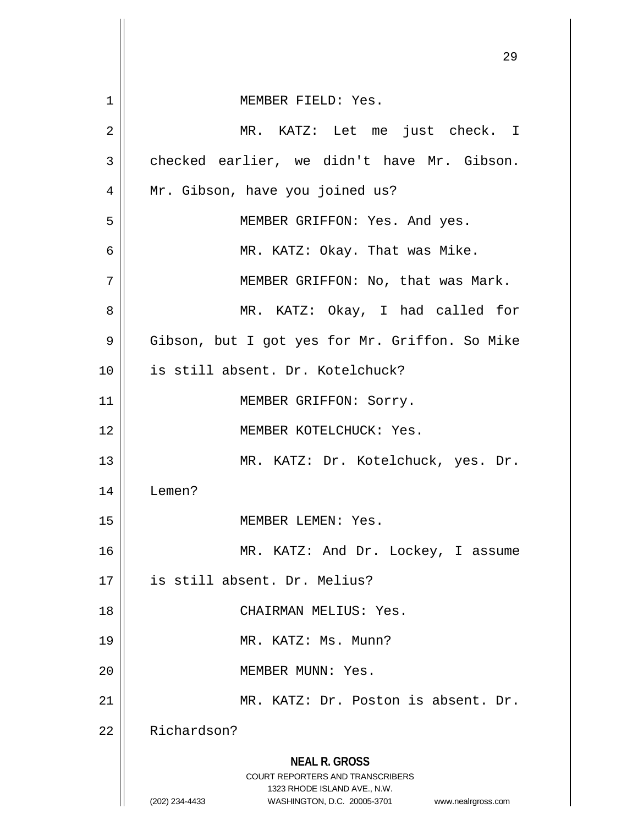|    | 29                                                                      |
|----|-------------------------------------------------------------------------|
| 1  | MEMBER FIELD: Yes.                                                      |
| 2  | MR. KATZ: Let me just check. I                                          |
|    |                                                                         |
| 3  | checked earlier, we didn't have Mr. Gibson.                             |
| 4  | Mr. Gibson, have you joined us?                                         |
| 5  | MEMBER GRIFFON: Yes. And yes.                                           |
| 6  | MR. KATZ: Okay. That was Mike.                                          |
| 7  | MEMBER GRIFFON: No, that was Mark.                                      |
| 8  | MR. KATZ: Okay, I had called for                                        |
| 9  | Gibson, but I got yes for Mr. Griffon. So Mike                          |
| 10 | is still absent. Dr. Kotelchuck?                                        |
| 11 | MEMBER GRIFFON: Sorry.                                                  |
| 12 | MEMBER KOTELCHUCK: Yes.                                                 |
| 13 | MR. KATZ: Dr. Kotelchuck, yes. Dr.                                      |
| 14 | Lemen?                                                                  |
| 15 | MEMBER LEMEN: Yes.                                                      |
| 16 | MR. KATZ: And Dr. Lockey, I assume                                      |
| 17 | is still absent. Dr. Melius?                                            |
| 18 | CHAIRMAN MELIUS: Yes.                                                   |
| 19 | MR. KATZ: Ms. Munn?                                                     |
| 20 | MEMBER MUNN: Yes.                                                       |
| 21 | MR. KATZ: Dr. Poston is absent. Dr.                                     |
| 22 | Richardson?                                                             |
|    | <b>NEAL R. GROSS</b>                                                    |
|    | <b>COURT REPORTERS AND TRANSCRIBERS</b><br>1323 RHODE ISLAND AVE., N.W. |
|    | (202) 234-4433<br>WASHINGTON, D.C. 20005-3701<br>www.nealrgross.com     |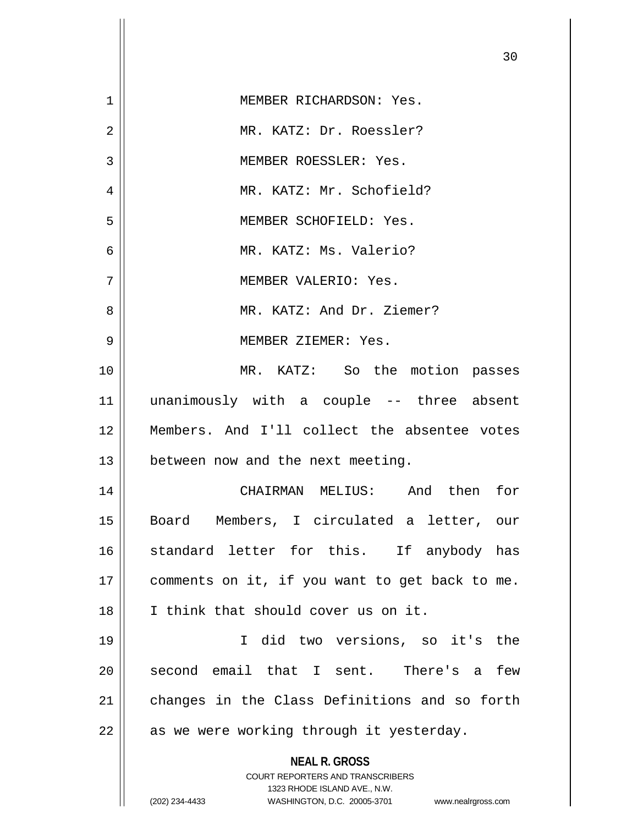|    | 30                                                                  |
|----|---------------------------------------------------------------------|
| 1  | MEMBER RICHARDSON: Yes.                                             |
| 2  | MR. KATZ: Dr. Roessler?                                             |
| 3  | MEMBER ROESSLER: Yes.                                               |
| 4  | MR. KATZ: Mr. Schofield?                                            |
| 5  | MEMBER SCHOFIELD: Yes.                                              |
| 6  | MR. KATZ: Ms. Valerio?                                              |
| 7  | MEMBER VALERIO: Yes.                                                |
| 8  | MR. KATZ: And Dr. Ziemer?                                           |
| 9  | MEMBER ZIEMER: Yes.                                                 |
| 10 | MR. KATZ: So the motion passes                                      |
| 11 | unanimously with a couple -- three absent                           |
| 12 | Members. And I'll collect the absentee votes                        |
| 13 | between now and the next meeting.                                   |
| 14 | CHAIRMAN MELIUS: And then<br>for                                    |
| 15 | Board Members, I circulated a letter, our                           |
| 16 | standard letter for this. If anybody has                            |
| 17 | comments on it, if you want to get back to me.                      |
| 18 | I think that should cover us on it.                                 |
| 19 | I did two versions, so it's the                                     |
| 20 | second email that I sent. There's a<br>few                          |
| 21 | changes in the Class Definitions and so forth                       |
| 22 | as we were working through it yesterday.                            |
|    | <b>NEAL R. GROSS</b><br><b>COURT REPORTERS AND TRANSCRIBERS</b>     |
|    | 1323 RHODE ISLAND AVE., N.W.                                        |
|    | (202) 234-4433<br>WASHINGTON, D.C. 20005-3701<br>www.nealrgross.com |

 $\mathsf{I}$ 

 $\Omega$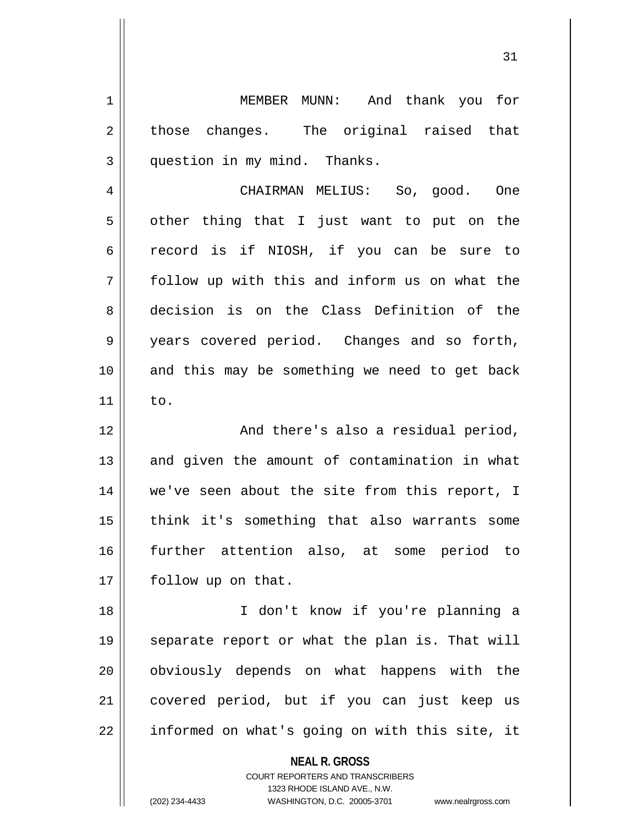1 MEMBER MUNN: And thank you for  $2 \parallel$  those changes. The original raised that 3 || question in my mind. Thanks.

4 CHAIRMAN MELIUS: So, good. One  $5 \parallel$  other thing that I just want to put on the 6 || record is if NIOSH, if you can be sure to 7 follow up with this and inform us on what the 8 decision is on the Class Definition of the 9 | years covered period. Changes and so forth, 10 and this may be something we need to get back  $11 \parallel$  to.

12 || And there's also a residual period,  $13$  and given the amount of contamination in what 14 we've seen about the site from this report, I 15 || think it's something that also warrants some 16 further attention also, at some period to 17 | follow up on that.

18 I don't know if you're planning a 19 || separate report or what the plan is. That will 20 obviously depends on what happens with the 21 || covered period, but if you can just keep us  $22$  | informed on what's going on with this site, it

**NEAL R. GROSS**

COURT REPORTERS AND TRANSCRIBERS 1323 RHODE ISLAND AVE., N.W. (202) 234-4433 WASHINGTON, D.C. 20005-3701 www.nealrgross.com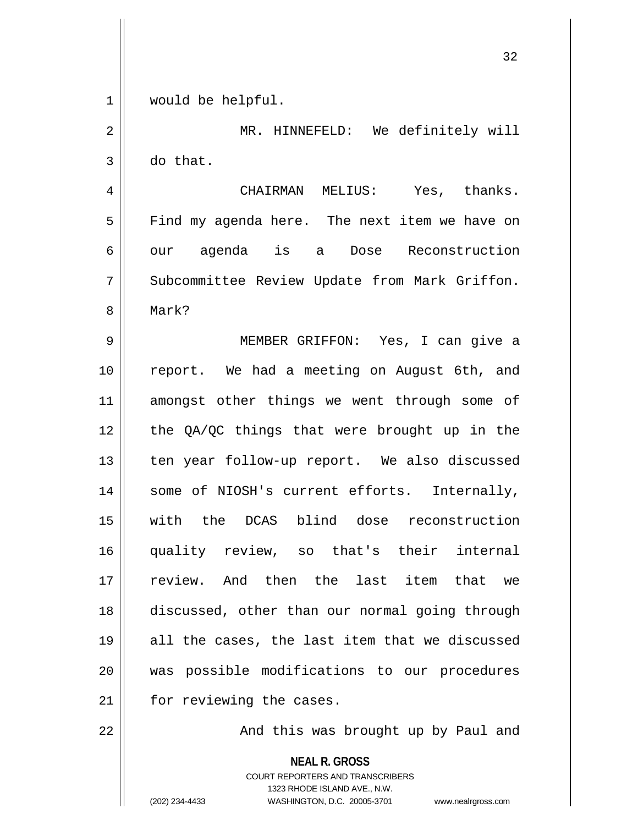1 || would be helpful.

2 || MR. HINNEFELD: We definitely will  $3 \parallel$  do that.

4 CHAIRMAN MELIUS: Yes, thanks. 5 Find my agenda here. The next item we have on 6 || our agenda is a Dose Reconstruction 7 | Subcommittee Review Update from Mark Griffon. 8 Mark?

9 MEMBER GRIFFON: Yes, I can give a 10 || report. We had a meeting on August 6th, and 11 || amongst other things we went through some of 12 || the QA/QC things that were brought up in the 13 || ten year follow-up report. We also discussed 14 || some of NIOSH's current efforts. Internally, 15 with the DCAS blind dose reconstruction 16 quality review, so that's their internal 17 review. And then the last item that we 18 discussed, other than our normal going through  $19$  || all the cases, the last item that we discussed 20 || was possible modifications to our procedures 21 | for reviewing the cases.

22 || And this was brought up by Paul and

**NEAL R. GROSS** COURT REPORTERS AND TRANSCRIBERS 1323 RHODE ISLAND AVE., N.W.

(202) 234-4433 WASHINGTON, D.C. 20005-3701 www.nealrgross.com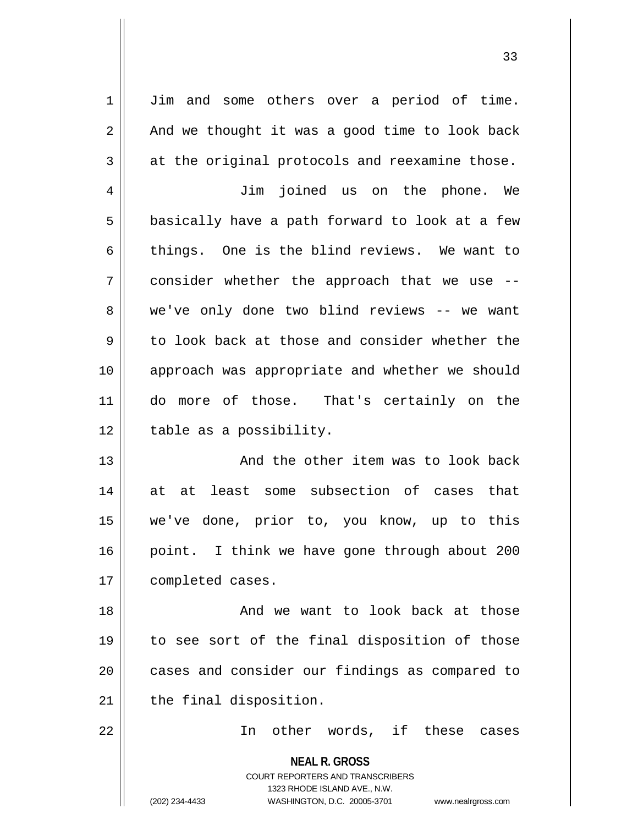1 | Jim and some others over a period of time.  $2 \parallel$  And we thought it was a good time to look back  $3 \parallel$  at the original protocols and reexamine those.

4 Jim joined us on the phone. We  $5 \parallel$  basically have a path forward to look at a few 6 things. One is the blind reviews. We want to 7 consider whether the approach that we use -- 8 we've only done two blind reviews -- we want  $9 \parallel$  to look back at those and consider whether the 10 || approach was appropriate and whether we should 11 do more of those. That's certainly on the  $12$  | table as a possibility.

13 || And the other item was to look back 14 at at least some subsection of cases that 15 we've done, prior to, you know, up to this 16 || point. I think we have gone through about 200 17 | completed cases.

18 || And we want to look back at those 19 to see sort of the final disposition of those 20 || cases and consider our findings as compared to  $21$  | the final disposition.

22 || The other words, if these cases

**NEAL R. GROSS** COURT REPORTERS AND TRANSCRIBERS 1323 RHODE ISLAND AVE., N.W. (202) 234-4433 WASHINGTON, D.C. 20005-3701 www.nealrgross.com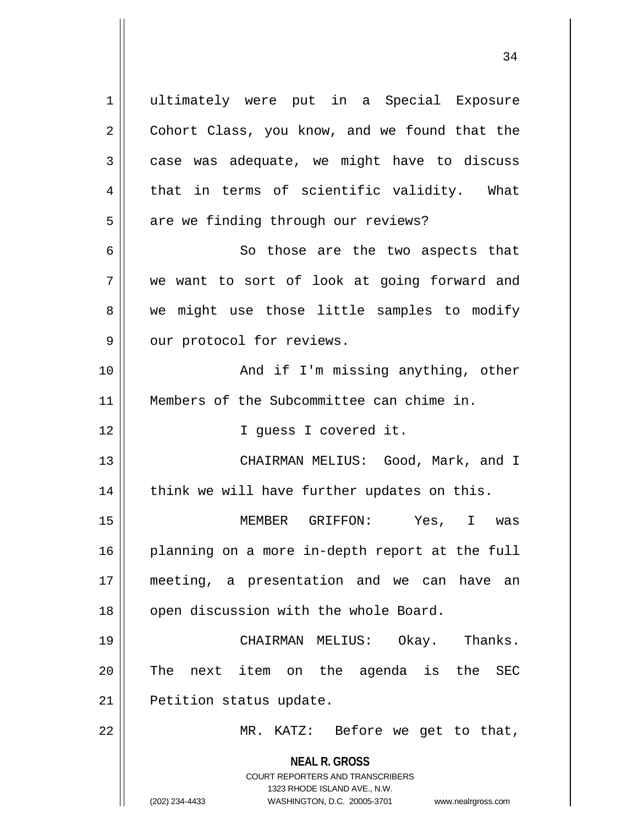**NEAL R. GROSS** COURT REPORTERS AND TRANSCRIBERS 1323 RHODE ISLAND AVE., N.W. 1 || ultimately were put in a Special Exposure 2 Cohort Class, you know, and we found that the  $3 \parallel$  case was adequate, we might have to discuss  $4 \parallel$  that in terms of scientific validity. What  $5 \parallel$  are we finding through our reviews? 6 || So those are the two aspects that 7 we want to sort of look at going forward and 8 we might use those little samples to modify  $9 \parallel$  our protocol for reviews. 10 And if I'm missing anything, other 11 Members of the Subcommittee can chime in. 12 || I quess I covered it. 13 CHAIRMAN MELIUS: Good, Mark, and I  $14$  | think we will have further updates on this. 15 MEMBER GRIFFON: Yes, I was 16 || planning on a more in-depth report at the full 17 meeting, a presentation and we can have an 18 || open discussion with the whole Board. 19 CHAIRMAN MELIUS: Okay. Thanks. 20 || The next item on the agenda is the SEC 21 | Petition status update. 22 || MR. KATZ: Before we get to that,

(202) 234-4433 WASHINGTON, D.C. 20005-3701 www.nealrgross.com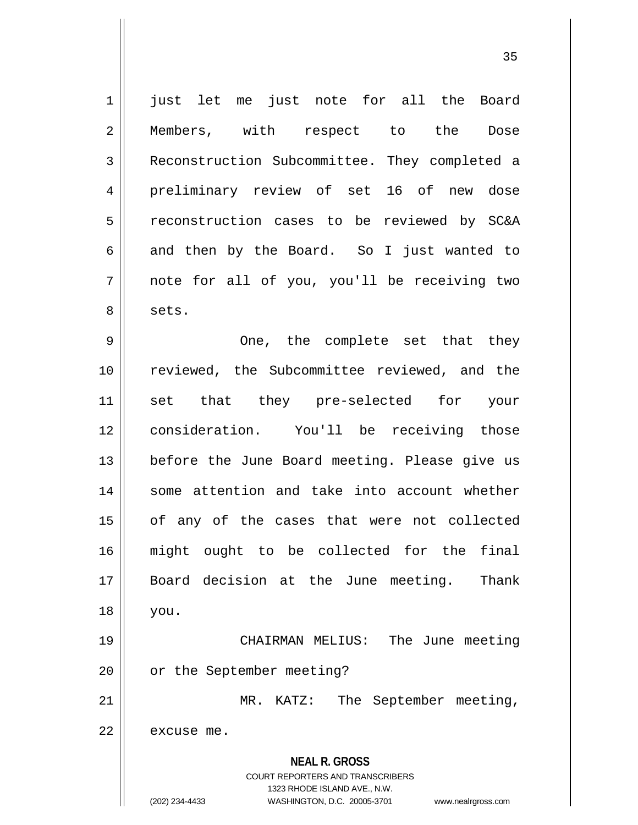**NEAL R. GROSS** COURT REPORTERS AND TRANSCRIBERS 1 || just let me just note for all the Board 2 || Members, with respect to the Dose 3 Reconstruction Subcommittee. They completed a 4 preliminary review of set 16 of new dose 5 || reconstruction cases to be reviewed by SC&A  $6 \parallel$  and then by the Board. So I just wanted to  $7 \parallel$  note for all of you, you'll be receiving two 8 | sets. 9 One, the complete set that they 10 || reviewed, the Subcommittee reviewed, and the 11 || set that they pre-selected for your 12 consideration. You'll be receiving those 13 || before the June Board meeting. Please give us 14 some attention and take into account whether 15 || of any of the cases that were not collected 16 might ought to be collected for the final 17 Board decision at the June meeting. Thank 18 you. 19 CHAIRMAN MELIUS: The June meeting 20 | or the September meeting? 21 || MR. KATZ: The September meeting,  $22$  | excuse me.

1323 RHODE ISLAND AVE., N.W.

(202) 234-4433 WASHINGTON, D.C. 20005-3701 www.nealrgross.com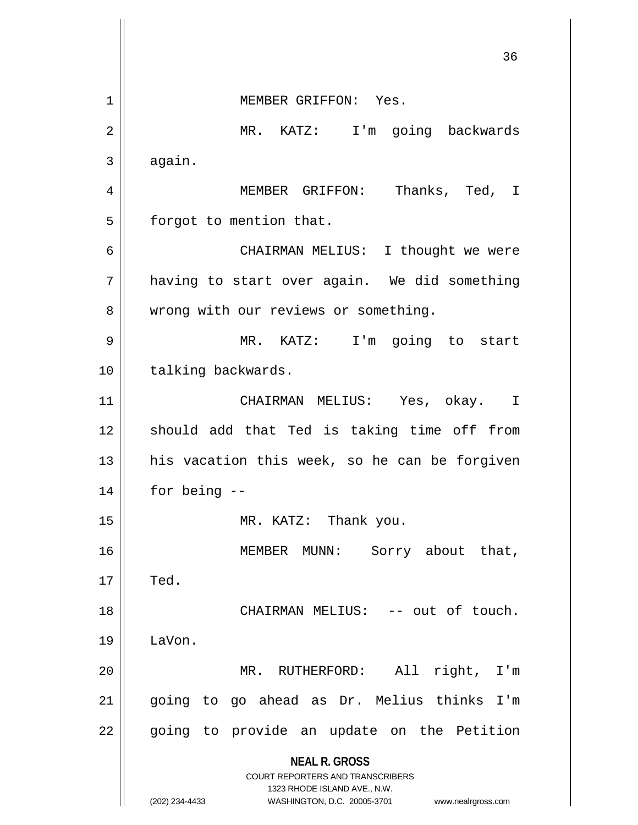**NEAL R. GROSS** COURT REPORTERS AND TRANSCRIBERS 1323 RHODE ISLAND AVE., N.W. (202) 234-4433 WASHINGTON, D.C. 20005-3701 www.nealrgross.com 36 1 || MEMBER GRIFFON: Yes. 2 MR. KATZ: I'm going backwards  $3 \parallel$  again. 4 MEMBER GRIFFON: Thanks, Ted, I  $5$  | forgot to mention that. 6 CHAIRMAN MELIUS: I thought we were 7 | having to start over again. We did something 8 | wrong with our reviews or something. 9 MR. KATZ: I'm going to start 10 | talking backwards. 11 CHAIRMAN MELIUS: Yes, okay. I  $12$  should add that Ted is taking time off from  $13$  his vacation this week, so he can be forgiven  $14 \parallel$  for being  $-$ 15 || MR. KATZ: Thank you. 16 || MEMBER MUNN: Sorry about that,  $17 \parallel$  Ted. 18 || CHAIRMAN MELIUS: -- out of touch. 19 LaVon. 20 MR. RUTHERFORD: All right, I'm 21 going to go ahead as Dr. Melius thinks I'm 22 || going to provide an update on the Petition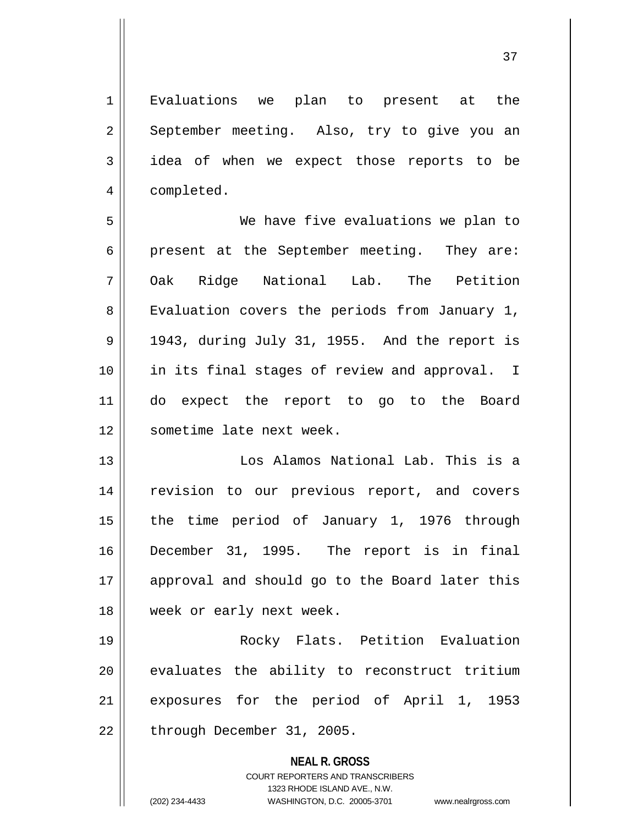37

**NEAL R. GROSS** COURT REPORTERS AND TRANSCRIBERS 1323 RHODE ISLAND AVE., N.W. 2 || September meeting. Also, try to give you an 3 || idea of when we expect those reports to be 4 | completed. 5 We have five evaluations we plan to 6 | present at the September meeting. They are: 7 Oak Ridge National Lab. The Petition 8 || Evaluation covers the periods from January 1,  $9 \parallel$  1943, during July 31, 1955. And the report is 10 || in its final stages of review and approval. I 11 do expect the report to go to the Board 12 sometime late next week. 13 Los Alamos National Lab. This is a 14 || revision to our previous report, and covers 15 || the time period of January 1, 1976 through 16 December 31, 1995. The report is in final 17 || approval and should go to the Board later this 18 || week or early next week. 19 Rocky Flats. Petition Evaluation  $20$   $\parallel$  evaluates the ability to reconstruct tritium 21 || exposures for the period of April 1, 1953  $22 \parallel$  through December 31, 2005.

1 || Evaluations we plan to present at the

(202) 234-4433 WASHINGTON, D.C. 20005-3701 www.nealrgross.com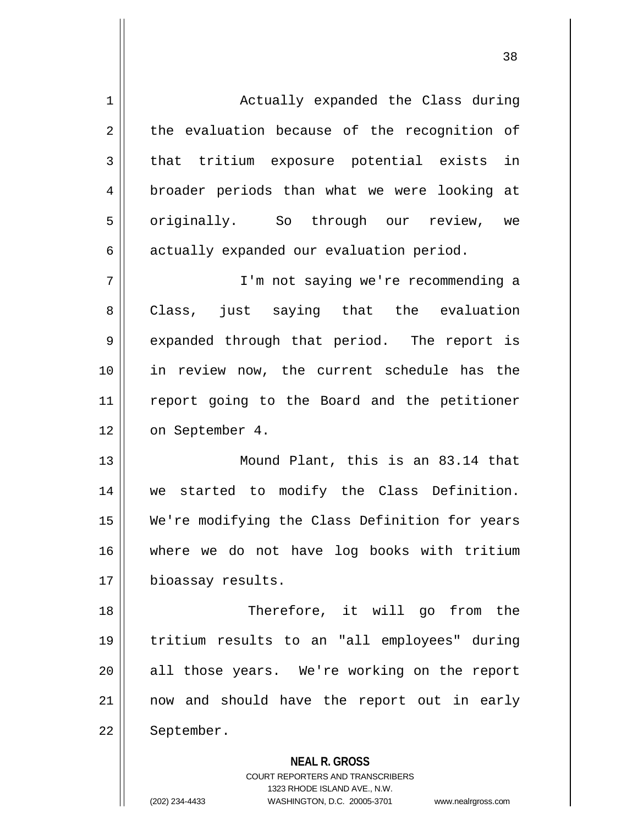| $\mathbf 1$ | Actually expanded the Class during             |  |  |  |  |  |  |
|-------------|------------------------------------------------|--|--|--|--|--|--|
| 2           | the evaluation because of the recognition of   |  |  |  |  |  |  |
| 3           | that tritium exposure potential exists in      |  |  |  |  |  |  |
| 4           | broader periods than what we were looking at   |  |  |  |  |  |  |
| 5           | originally. So through our review, we          |  |  |  |  |  |  |
| 6           | actually expanded our evaluation period.       |  |  |  |  |  |  |
| 7           | I'm not saying we're recommending a            |  |  |  |  |  |  |
| 8           | Class, just saying that the evaluation         |  |  |  |  |  |  |
| 9           | expanded through that period. The report is    |  |  |  |  |  |  |
| 10          | in review now, the current schedule has the    |  |  |  |  |  |  |
| 11          | report going to the Board and the petitioner   |  |  |  |  |  |  |
| 12          | on September 4.                                |  |  |  |  |  |  |
| 13          | Mound Plant, this is an 83.14 that             |  |  |  |  |  |  |
| 14          | we started to modify the Class Definition.     |  |  |  |  |  |  |
| 15          | We're modifying the Class Definition for years |  |  |  |  |  |  |
| 16          | where we do not have log books with tritium    |  |  |  |  |  |  |
| 17          | bioassay results.                              |  |  |  |  |  |  |
| 18          | Therefore, it will go from the                 |  |  |  |  |  |  |
| 19          | tritium results to an "all employees" during   |  |  |  |  |  |  |
| 20          | all those years. We're working on the report   |  |  |  |  |  |  |
| 21          | now and should have the report out in early    |  |  |  |  |  |  |
| 22          | September.                                     |  |  |  |  |  |  |
|             | <b>NEAL R. GROSS</b>                           |  |  |  |  |  |  |

COURT REPORTERS AND TRANSCRIBERS 1323 RHODE ISLAND AVE., N.W. (202) 234-4433 WASHINGTON, D.C. 20005-3701 www.nealrgross.com

 $\mathsf{II}$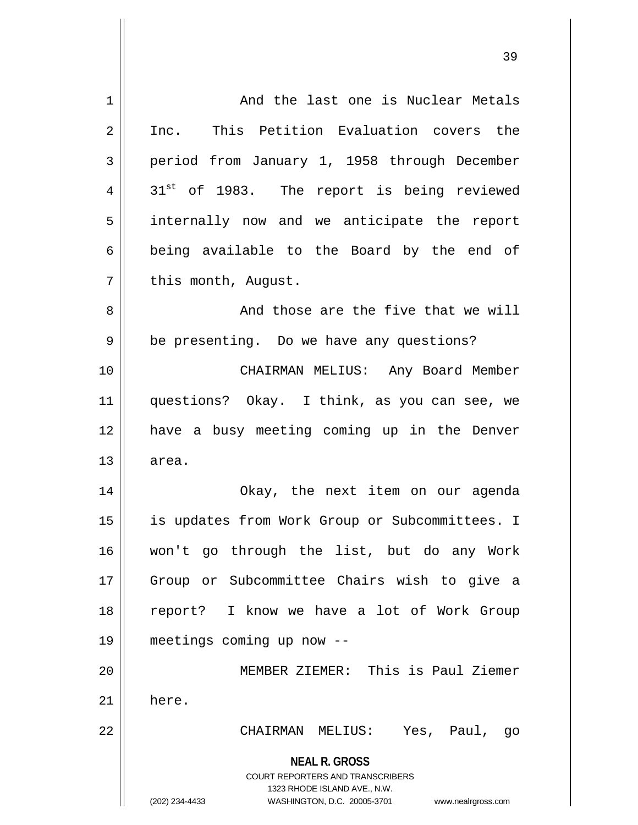| 1  | And the last one is Nuclear Metals                                                                                                                              |  |  |  |  |  |  |  |
|----|-----------------------------------------------------------------------------------------------------------------------------------------------------------------|--|--|--|--|--|--|--|
| 2  | Inc. This Petition Evaluation covers the                                                                                                                        |  |  |  |  |  |  |  |
| 3  | period from January 1, 1958 through December                                                                                                                    |  |  |  |  |  |  |  |
| 4  | 31 <sup>st</sup> of 1983. The report is being reviewed                                                                                                          |  |  |  |  |  |  |  |
| 5  | internally now and we anticipate the report                                                                                                                     |  |  |  |  |  |  |  |
| 6  | being available to the Board by the end of                                                                                                                      |  |  |  |  |  |  |  |
| 7  | this month, August.                                                                                                                                             |  |  |  |  |  |  |  |
| 8  | And those are the five that we will                                                                                                                             |  |  |  |  |  |  |  |
| 9  | be presenting. Do we have any questions?                                                                                                                        |  |  |  |  |  |  |  |
| 10 | CHAIRMAN MELIUS: Any Board Member                                                                                                                               |  |  |  |  |  |  |  |
| 11 | questions? Okay. I think, as you can see, we                                                                                                                    |  |  |  |  |  |  |  |
| 12 | have a busy meeting coming up in the Denver                                                                                                                     |  |  |  |  |  |  |  |
| 13 | area.                                                                                                                                                           |  |  |  |  |  |  |  |
| 14 | Okay, the next item on our agenda                                                                                                                               |  |  |  |  |  |  |  |
| 15 | is updates from Work Group or Subcommittees. I                                                                                                                  |  |  |  |  |  |  |  |
| 16 | won't go through the list, but do any Work                                                                                                                      |  |  |  |  |  |  |  |
| 17 | Group or Subcommittee Chairs wish to give a                                                                                                                     |  |  |  |  |  |  |  |
| 18 | report? I know we have a lot of Work Group                                                                                                                      |  |  |  |  |  |  |  |
| 19 | meetings coming up now --                                                                                                                                       |  |  |  |  |  |  |  |
| 20 | MEMBER ZIEMER: This is Paul Ziemer                                                                                                                              |  |  |  |  |  |  |  |
| 21 | here.                                                                                                                                                           |  |  |  |  |  |  |  |
| 22 | CHAIRMAN MELIUS:<br>Yes, Paul, go                                                                                                                               |  |  |  |  |  |  |  |
|    | <b>NEAL R. GROSS</b><br>COURT REPORTERS AND TRANSCRIBERS<br>1323 RHODE ISLAND AVE., N.W.<br>(202) 234-4433<br>WASHINGTON, D.C. 20005-3701<br>www.nealrgross.com |  |  |  |  |  |  |  |

 $\overline{\mathbf{1}}$ 

 $\mathsf{I}$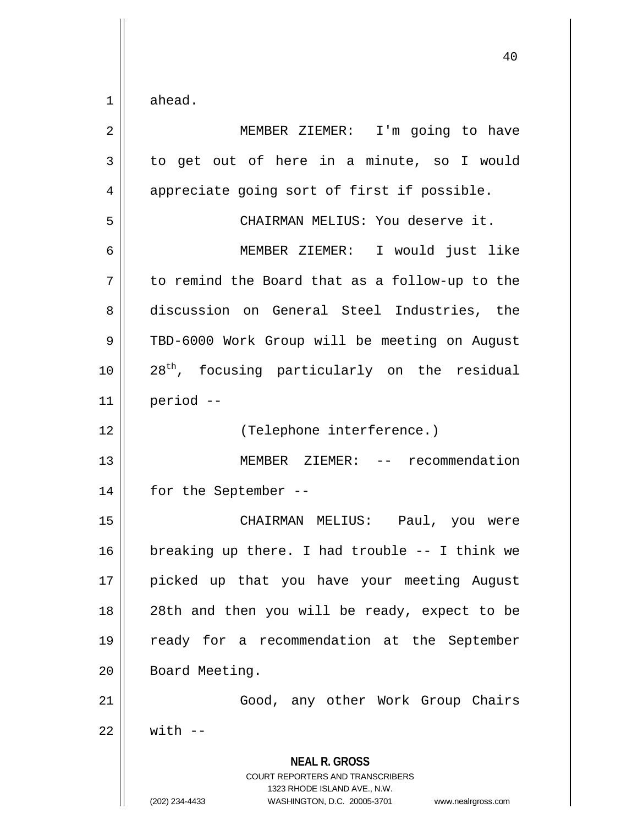$1 \parallel$  ahead.

| $\overline{2}$ | MEMBER ZIEMER: I'm going to have                                                                                                                                |  |  |  |  |  |  |  |
|----------------|-----------------------------------------------------------------------------------------------------------------------------------------------------------------|--|--|--|--|--|--|--|
| 3              | to get out of here in a minute, so I would                                                                                                                      |  |  |  |  |  |  |  |
| 4              | appreciate going sort of first if possible.                                                                                                                     |  |  |  |  |  |  |  |
| 5              | CHAIRMAN MELIUS: You deserve it.                                                                                                                                |  |  |  |  |  |  |  |
| 6              | MEMBER ZIEMER: I would just like                                                                                                                                |  |  |  |  |  |  |  |
| 7              | to remind the Board that as a follow-up to the                                                                                                                  |  |  |  |  |  |  |  |
| 8              | discussion on General Steel Industries, the                                                                                                                     |  |  |  |  |  |  |  |
| 9              | TBD-6000 Work Group will be meeting on August                                                                                                                   |  |  |  |  |  |  |  |
| 10             | 28 <sup>th</sup> , focusing particularly on the residual                                                                                                        |  |  |  |  |  |  |  |
| 11             | period --                                                                                                                                                       |  |  |  |  |  |  |  |
| 12             | (Telephone interference.)                                                                                                                                       |  |  |  |  |  |  |  |
| 13             | MEMBER ZIEMER: -- recommendation                                                                                                                                |  |  |  |  |  |  |  |
| 14             | for the September --                                                                                                                                            |  |  |  |  |  |  |  |
| 15             | CHAIRMAN MELIUS: Paul, you were                                                                                                                                 |  |  |  |  |  |  |  |
| 16             | breaking up there. I had trouble -- I think we                                                                                                                  |  |  |  |  |  |  |  |
| 17             | picked up that you have your meeting August                                                                                                                     |  |  |  |  |  |  |  |
| 18             | 28th and then you will be ready, expect to be                                                                                                                   |  |  |  |  |  |  |  |
| 19             | ready for a recommendation at the September                                                                                                                     |  |  |  |  |  |  |  |
| 20             | Board Meeting.                                                                                                                                                  |  |  |  |  |  |  |  |
| 21             | Good, any other Work Group Chairs                                                                                                                               |  |  |  |  |  |  |  |
| 22             | $with - -$                                                                                                                                                      |  |  |  |  |  |  |  |
|                | <b>NEAL R. GROSS</b><br>COURT REPORTERS AND TRANSCRIBERS<br>1323 RHODE ISLAND AVE., N.W.<br>(202) 234-4433<br>WASHINGTON, D.C. 20005-3701<br>www.nealrgross.com |  |  |  |  |  |  |  |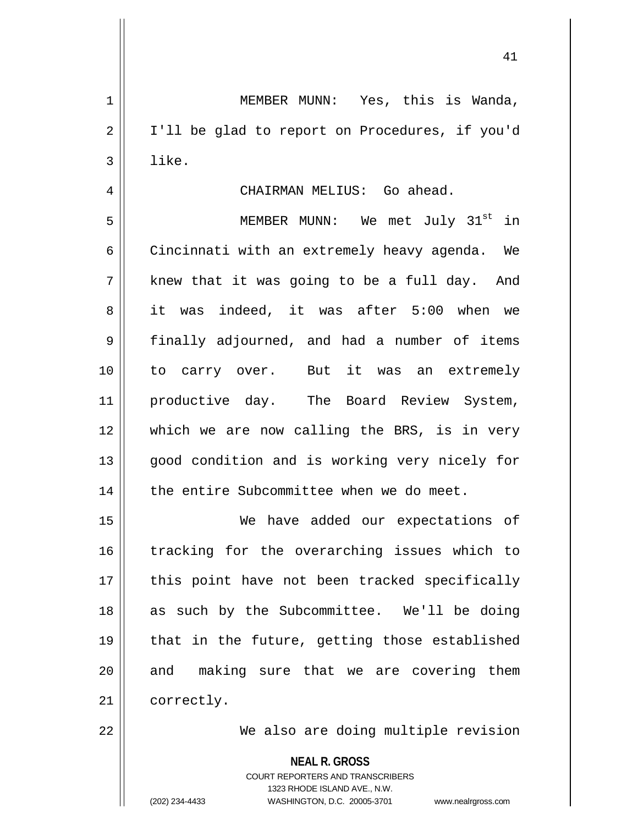41

1 MEMBER MUNN: Yes, this is Wanda, 2 | I'll be glad to report on Procedures, if you'd  $3 \parallel$  like. 4 CHAIRMAN MELIUS: Go ahead. 5 || MEMBER MUNN: We met July 31<sup>st</sup> in

 $6 \parallel$  Cincinnati with an extremely heavy agenda. We  $7 \parallel$  knew that it was going to be a full day. And 8 it was indeed, it was after 5:00 when we 9 finally adjourned, and had a number of items 10 to carry over. But it was an extremely 11 || productive day. The Board Review System, 12 which we are now calling the BRS, is in very 13 || good condition and is working very nicely for 14 | the entire Subcommittee when we do meet.

15 We have added our expectations of 16 || tracking for the overarching issues which to 17 || this point have not been tracked specifically 18 || as such by the Subcommittee. We'll be doing 19 || that in the future, getting those established  $20$  and making sure that we are covering them 21 | correctly.

22 We also are doing multiple revision

**NEAL R. GROSS**

COURT REPORTERS AND TRANSCRIBERS 1323 RHODE ISLAND AVE., N.W. (202) 234-4433 WASHINGTON, D.C. 20005-3701 www.nealrgross.com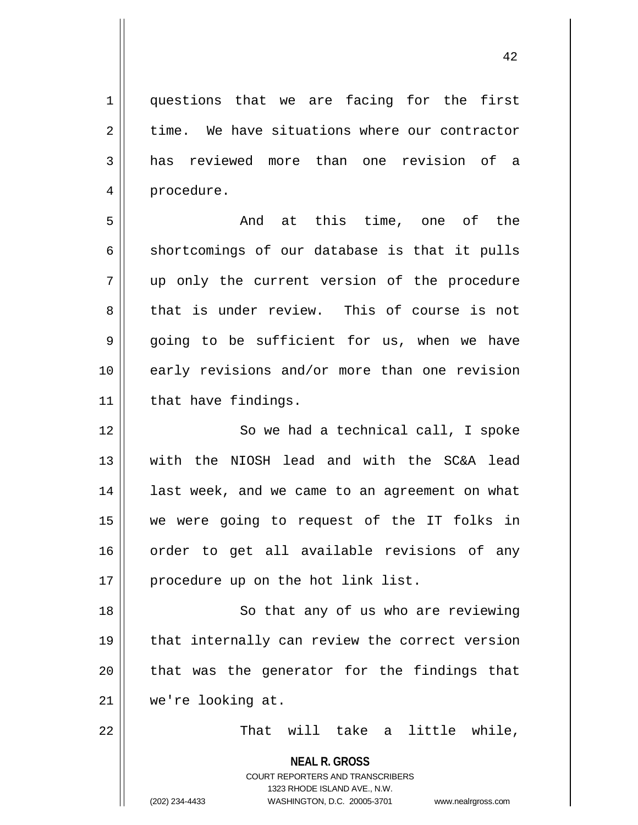1 questions that we are facing for the first  $2 \parallel$  time. We have situations where our contractor 3 has reviewed more than one revision of a 4 | procedure.

5 And at this time, one of the  $6 \parallel$  shortcomings of our database is that it pulls 7 up only the current version of the procedure 8 that is under review. This of course is not  $9 \parallel$  going to be sufficient for us, when we have 10 early revisions and/or more than one revision  $11$  | that have findings.

12 || So we had a technical call, I spoke 13 with the NIOSH lead and with the SC&A lead 14 || last week, and we came to an agreement on what 15 we were going to request of the IT folks in 16 order to get all available revisions of any 17 || procedure up on the hot link list.

18 || So that any of us who are reviewing 19 || that internally can review the correct version  $20$  || that was the generator for the findings that 21 we're looking at.

 $22$   $||$  That will take a little while,

**NEAL R. GROSS**

COURT REPORTERS AND TRANSCRIBERS 1323 RHODE ISLAND AVE., N.W. (202) 234-4433 WASHINGTON, D.C. 20005-3701 www.nealrgross.com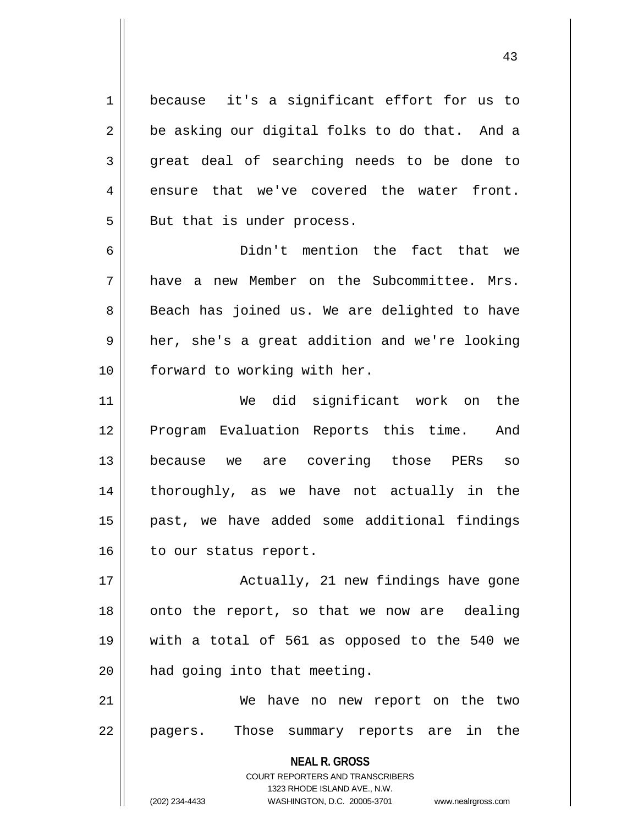1 | because it's a significant effort for us to  $2 \parallel$  be asking our digital folks to do that. And a  $3 \parallel$  great deal of searching needs to be done to  $4 \parallel$  ensure that we've covered the water front.  $5$  || But that is under process.

6 Didn't mention the fact that we 7 have a new Member on the Subcommittee. Mrs. 8 || Beach has joined us. We are delighted to have 9 || her, she's a great addition and we're looking 10 || forward to working with her.

11 We did significant work on the 12 || Program Evaluation Reports this time. And 13 because we are covering those PERs so 14 thoroughly, as we have not actually in the 15 past, we have added some additional findings 16 | to our status report.

17 || Actually, 21 new findings have gone 18 || onto the report, so that we now are dealing 19 with a total of 561 as opposed to the 540 we  $20$  | had going into that meeting.

21 We have no new report on the two 22 || pagers. Those summary reports are in the

> **NEAL R. GROSS** COURT REPORTERS AND TRANSCRIBERS 1323 RHODE ISLAND AVE., N.W. (202) 234-4433 WASHINGTON, D.C. 20005-3701 www.nealrgross.com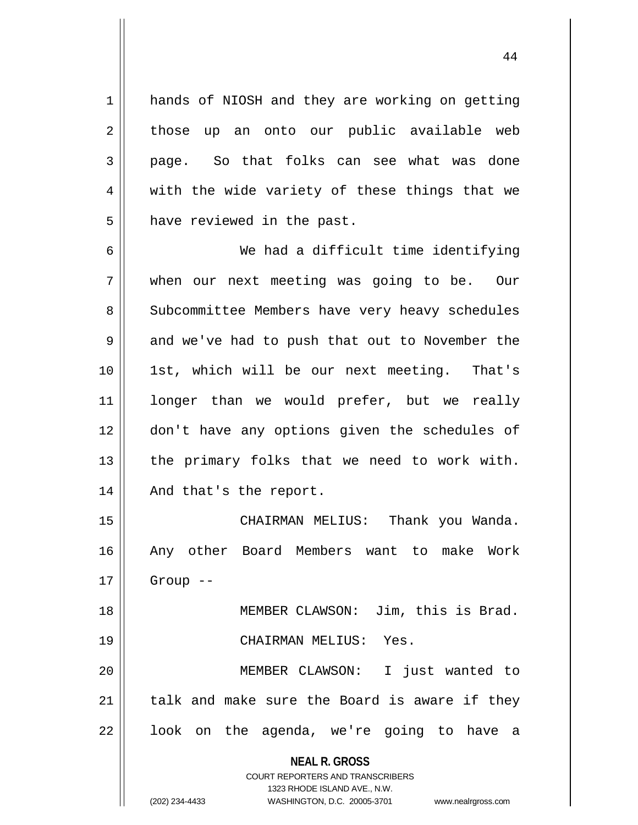1 || hands of NIOSH and they are working on getting  $2 \parallel$  those up an onto our public available web 3 page. So that folks can see what was done  $4 \parallel$  with the wide variety of these things that we  $5$  || have reviewed in the past.

6 We had a difficult time identifying 7 when our next meeting was going to be. Our 8 Subcommittee Members have very heavy schedules  $9 \parallel$  and we've had to push that out to November the 10 || 1st, which will be our next meeting. That's 11 longer than we would prefer, but we really 12 don't have any options given the schedules of  $13$  | the primary folks that we need to work with. 14 || And that's the report.

15 CHAIRMAN MELIUS: Thank you Wanda. 16 Any other Board Members want to make Work  $17$  | Group --18 MEMBER CLAWSON: Jim, this is Brad.

19 CHAIRMAN MELIUS: Yes. 20 MEMBER CLAWSON: I just wanted to

 $21$  talk and make sure the Board is aware if they  $22 \parallel$  look on the agenda, we're going to have a

**NEAL R. GROSS**

COURT REPORTERS AND TRANSCRIBERS 1323 RHODE ISLAND AVE., N.W. (202) 234-4433 WASHINGTON, D.C. 20005-3701 www.nealrgross.com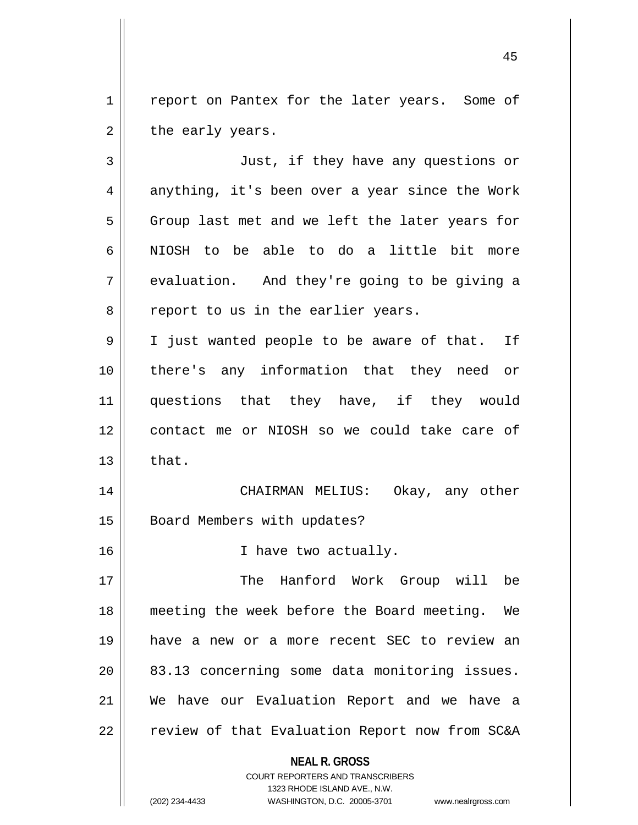1 | report on Pantex for the later years. Some of  $2 \parallel$  the early years.

**NEAL R. GROSS** 3 Just, if they have any questions or  $4 \parallel$  anything, it's been over a year since the Work 5 Group last met and we left the later years for 6 NIOSH to be able to do a little bit more  $7 \parallel$  evaluation. And they're going to be giving a  $8 \parallel$  report to us in the earlier years. 9 || I just wanted people to be aware of that. If 10 there's any information that they need or 11 questions that they have, if they would 12 contact me or NIOSH so we could take care of  $13 \parallel$  that. 14 CHAIRMAN MELIUS: Okay, any other 15 | Board Members with updates? 16 || I have two actually. 17 The Hanford Work Group will be 18 meeting the week before the Board meeting. We 19 have a new or a more recent SEC to review an 20 83.13 concerning some data monitoring issues. 21 We have our Evaluation Report and we have a  $22$  | review of that Evaluation Report now from SC&A

> COURT REPORTERS AND TRANSCRIBERS 1323 RHODE ISLAND AVE., N.W.

(202) 234-4433 WASHINGTON, D.C. 20005-3701 www.nealrgross.com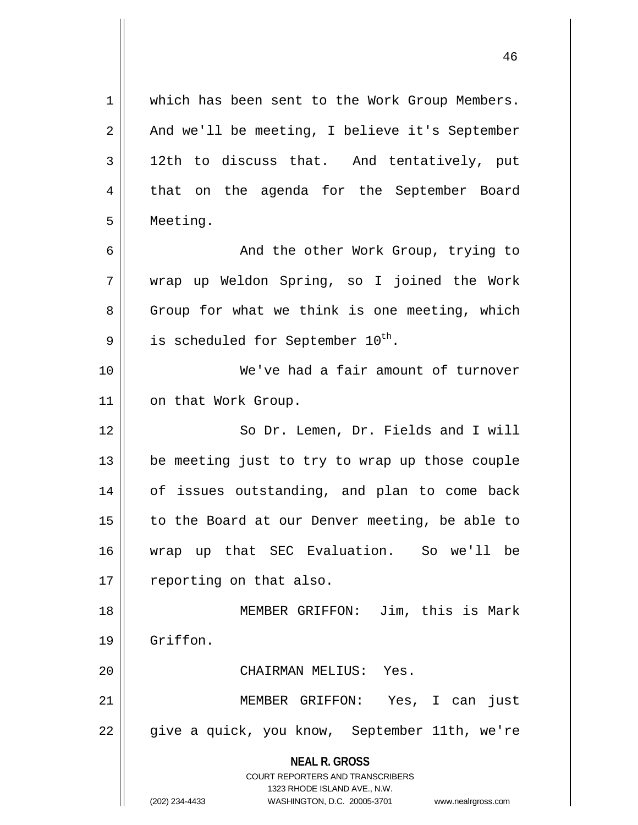**NEAL R. GROSS** COURT REPORTERS AND TRANSCRIBERS 1323 RHODE ISLAND AVE., N.W. (202) 234-4433 WASHINGTON, D.C. 20005-3701 www.nealrgross.com 1 which has been sent to the Work Group Members.  $2 \parallel$  And we'll be meeting, I believe it's September  $3 \parallel$  12th to discuss that. And tentatively, put 4 that on the agenda for the September Board 5 Meeting. 6 || And the other Work Group, trying to 7 wrap up Weldon Spring, so I joined the Work  $8 \parallel$  Group for what we think is one meeting, which  $9 \parallel$  is scheduled for September 10<sup>th</sup>. 10 We've had a fair amount of turnover 11 | on that Work Group. 12 || So Dr. Lemen, Dr. Fields and I will 13 be meeting just to try to wrap up those couple 14 of issues outstanding, and plan to come back 15 || to the Board at our Denver meeting, be able to 16 wrap up that SEC Evaluation. So we'll be 17 | reporting on that also. 18 || MEMBER GRIFFON: Jim, this is Mark 19 Griffon. 20 CHAIRMAN MELIUS: Yes. 21 MEMBER GRIFFON: Yes, I can just 22 || give a quick, you know, September 11th, we're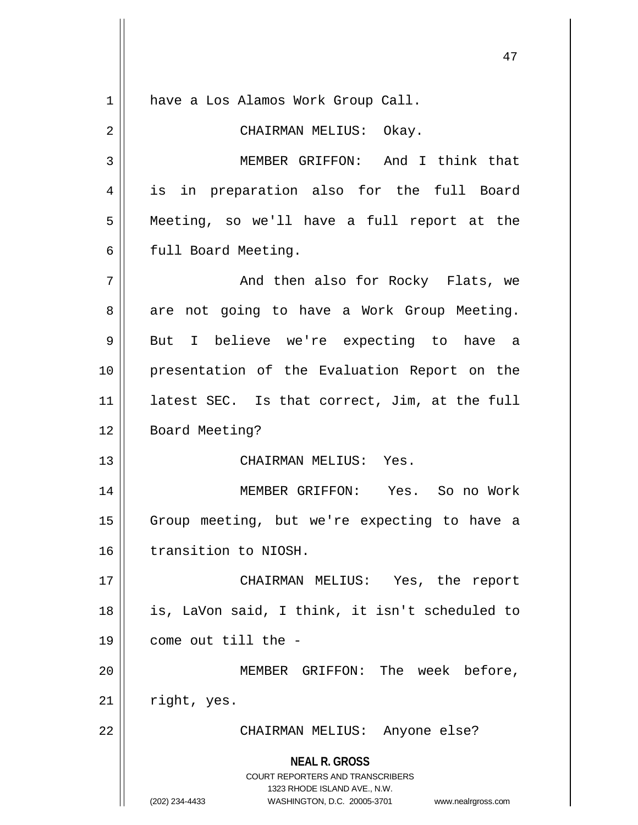| $\mathbf 1$ | have a Los Alamos Work Group Call.                                                                                                                                     |  |  |  |  |  |  |
|-------------|------------------------------------------------------------------------------------------------------------------------------------------------------------------------|--|--|--|--|--|--|
| 2           | CHAIRMAN MELIUS: Okay.                                                                                                                                                 |  |  |  |  |  |  |
| 3           | MEMBER GRIFFON: And I think that                                                                                                                                       |  |  |  |  |  |  |
| 4           | is in preparation also for the full Board                                                                                                                              |  |  |  |  |  |  |
| 5           | Meeting, so we'll have a full report at the                                                                                                                            |  |  |  |  |  |  |
| 6           | full Board Meeting.                                                                                                                                                    |  |  |  |  |  |  |
| 7           | And then also for Rocky Flats, we                                                                                                                                      |  |  |  |  |  |  |
| 8           | are not going to have a Work Group Meeting.                                                                                                                            |  |  |  |  |  |  |
| 9           | But I believe we're expecting to have a                                                                                                                                |  |  |  |  |  |  |
| 10          | presentation of the Evaluation Report on the                                                                                                                           |  |  |  |  |  |  |
| 11          | latest SEC. Is that correct, Jim, at the full                                                                                                                          |  |  |  |  |  |  |
| 12          | Board Meeting?                                                                                                                                                         |  |  |  |  |  |  |
| 13          | CHAIRMAN MELIUS: Yes.                                                                                                                                                  |  |  |  |  |  |  |
| 14          | MEMBER GRIFFON: Yes. So no Work                                                                                                                                        |  |  |  |  |  |  |
| 15          | Group meeting, but we're expecting to have a                                                                                                                           |  |  |  |  |  |  |
| 16          | transition to NIOSH.                                                                                                                                                   |  |  |  |  |  |  |
| 17          | CHAIRMAN MELIUS: Yes, the report                                                                                                                                       |  |  |  |  |  |  |
| 18          | is, LaVon said, I think, it isn't scheduled to                                                                                                                         |  |  |  |  |  |  |
| 19          | come out till the -                                                                                                                                                    |  |  |  |  |  |  |
| 20          | MEMBER GRIFFON: The week before,                                                                                                                                       |  |  |  |  |  |  |
| 21          | right, yes.                                                                                                                                                            |  |  |  |  |  |  |
| 22          | CHAIRMAN MELIUS: Anyone else?                                                                                                                                          |  |  |  |  |  |  |
|             | <b>NEAL R. GROSS</b><br><b>COURT REPORTERS AND TRANSCRIBERS</b><br>1323 RHODE ISLAND AVE., N.W.<br>(202) 234-4433<br>WASHINGTON, D.C. 20005-3701<br>www.nealrgross.com |  |  |  |  |  |  |

 $\left| \right|$ 

 $\mathbf{\mathsf{H}}$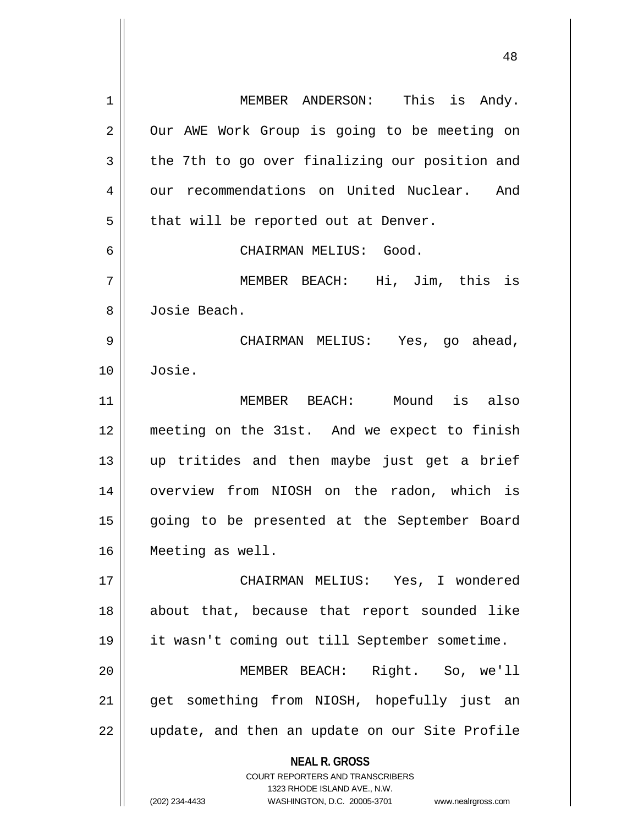| 1  | MEMBER ANDERSON: This is Andy.                                          |  |  |  |  |  |  |  |
|----|-------------------------------------------------------------------------|--|--|--|--|--|--|--|
| 2  | Our AWE Work Group is going to be meeting on                            |  |  |  |  |  |  |  |
| 3  | the 7th to go over finalizing our position and                          |  |  |  |  |  |  |  |
| 4  | our recommendations on United Nuclear. And                              |  |  |  |  |  |  |  |
| 5  | that will be reported out at Denver.                                    |  |  |  |  |  |  |  |
| 6  | CHAIRMAN MELIUS: Good.                                                  |  |  |  |  |  |  |  |
| 7  | MEMBER BEACH: Hi, Jim, this is                                          |  |  |  |  |  |  |  |
| 8  | Josie Beach.                                                            |  |  |  |  |  |  |  |
| 9  | CHAIRMAN MELIUS: Yes, go ahead,                                         |  |  |  |  |  |  |  |
| 10 | Josie.                                                                  |  |  |  |  |  |  |  |
| 11 | MEMBER BEACH: Mound is also                                             |  |  |  |  |  |  |  |
| 12 | meeting on the 31st. And we expect to finish                            |  |  |  |  |  |  |  |
| 13 | up tritides and then maybe just get a brief                             |  |  |  |  |  |  |  |
| 14 | overview from NIOSH on the radon, which is                              |  |  |  |  |  |  |  |
| 15 | going to be presented at the September Board                            |  |  |  |  |  |  |  |
| 16 | Meeting as well.                                                        |  |  |  |  |  |  |  |
| 17 | CHAIRMAN MELIUS: Yes, I wondered                                        |  |  |  |  |  |  |  |
| 18 | about that, because that report sounded like                            |  |  |  |  |  |  |  |
| 19 | it wasn't coming out till September sometime.                           |  |  |  |  |  |  |  |
|    |                                                                         |  |  |  |  |  |  |  |
| 20 | Right. So, we'll<br>MEMBER BEACH:                                       |  |  |  |  |  |  |  |
| 21 | get something from NIOSH, hopefully just an                             |  |  |  |  |  |  |  |
| 22 | update, and then an update on our Site Profile                          |  |  |  |  |  |  |  |
|    | <b>NEAL R. GROSS</b>                                                    |  |  |  |  |  |  |  |
|    | <b>COURT REPORTERS AND TRANSCRIBERS</b><br>1323 RHODE ISLAND AVE., N.W. |  |  |  |  |  |  |  |
|    | (202) 234-4433<br>WASHINGTON, D.C. 20005-3701<br>www.nealrgross.com     |  |  |  |  |  |  |  |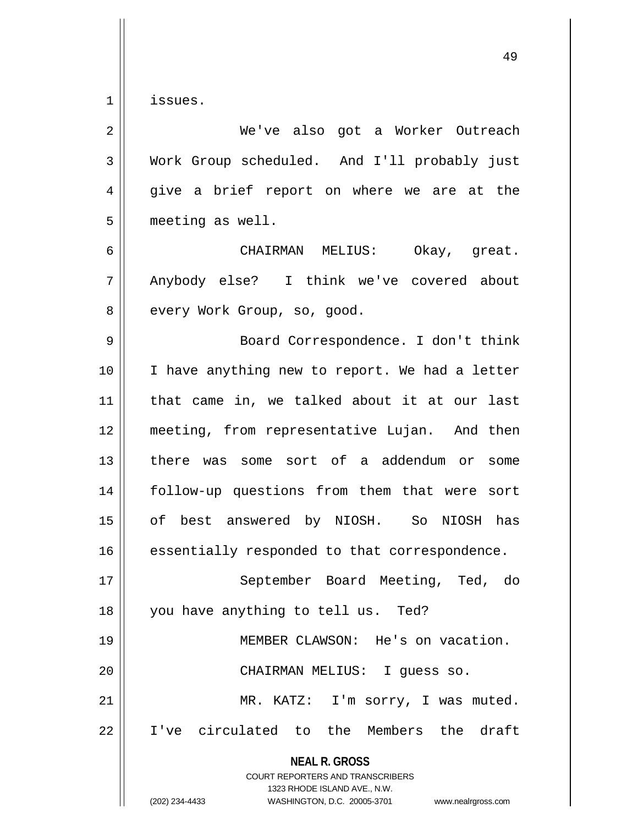$1 \parallel$  issues.

| $\overline{2}$ | We've also got a Worker Outreach                                                                |  |  |  |  |  |  |  |  |
|----------------|-------------------------------------------------------------------------------------------------|--|--|--|--|--|--|--|--|
| 3              | Work Group scheduled. And I'll probably just                                                    |  |  |  |  |  |  |  |  |
| $\overline{4}$ | give a brief report on where we are at the                                                      |  |  |  |  |  |  |  |  |
| 5              | meeting as well.                                                                                |  |  |  |  |  |  |  |  |
| 6              | CHAIRMAN MELIUS: Okay, great.                                                                   |  |  |  |  |  |  |  |  |
| 7              | Anybody else? I think we've covered about                                                       |  |  |  |  |  |  |  |  |
| 8              | every Work Group, so, good.                                                                     |  |  |  |  |  |  |  |  |
| 9              | Board Correspondence. I don't think                                                             |  |  |  |  |  |  |  |  |
| 10             | I have anything new to report. We had a letter                                                  |  |  |  |  |  |  |  |  |
| 11             | that came in, we talked about it at our last                                                    |  |  |  |  |  |  |  |  |
| 12             | meeting, from representative Lujan. And then                                                    |  |  |  |  |  |  |  |  |
| 13             | there was some sort of a addendum or<br>some                                                    |  |  |  |  |  |  |  |  |
| 14             | follow-up questions from them that were sort                                                    |  |  |  |  |  |  |  |  |
| 15             | of best answered by NIOSH. So NIOSH has                                                         |  |  |  |  |  |  |  |  |
| 16             | essentially responded to that correspondence.                                                   |  |  |  |  |  |  |  |  |
| 17             | September Board Meeting, Ted, do                                                                |  |  |  |  |  |  |  |  |
| 18             | you have anything to tell us. Ted?                                                              |  |  |  |  |  |  |  |  |
| 19             | MEMBER CLAWSON: He's on vacation.                                                               |  |  |  |  |  |  |  |  |
| 20             | CHAIRMAN MELIUS:<br>I guess so.                                                                 |  |  |  |  |  |  |  |  |
| 21             | MR. KATZ: I'm sorry, I was muted.                                                               |  |  |  |  |  |  |  |  |
| 22             | I've circulated to the Members the draft                                                        |  |  |  |  |  |  |  |  |
|                | <b>NEAL R. GROSS</b><br><b>COURT REPORTERS AND TRANSCRIBERS</b><br>1323 RHODE ISLAND AVE., N.W. |  |  |  |  |  |  |  |  |
|                | (202) 234-4433<br>WASHINGTON, D.C. 20005-3701<br>www.nealrgross.com                             |  |  |  |  |  |  |  |  |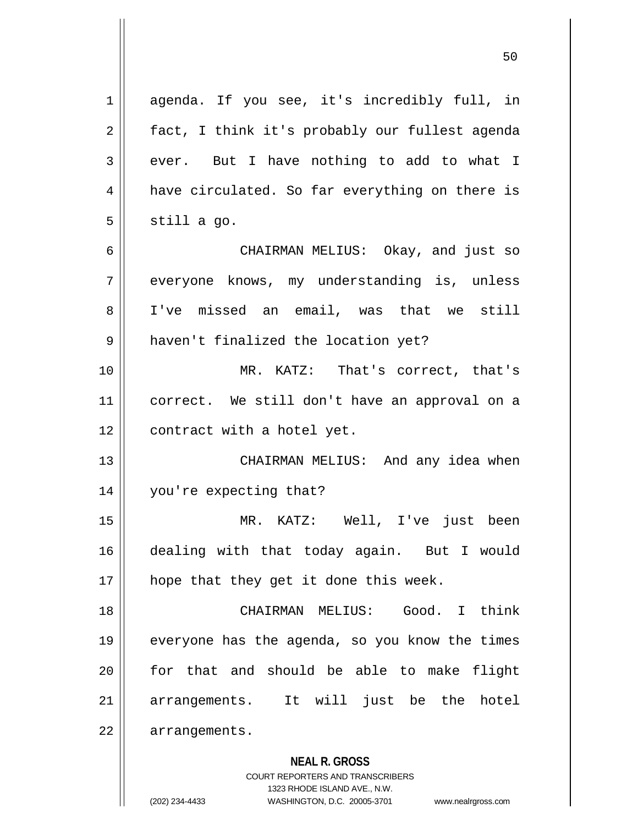**NEAL R. GROSS** COURT REPORTERS AND TRANSCRIBERS 1 agenda. If you see, it's incredibly full, in 2 | fact, I think it's probably our fullest agenda  $3 \parallel$  ever. But I have nothing to add to what I 4 | have circulated. So far everything on there is  $5 \parallel$  still a go. 6 CHAIRMAN MELIUS: Okay, and just so 7 everyone knows, my understanding is, unless 8 I've missed an email, was that we still 9 || haven't finalized the location yet? 10 || MR. KATZ: That's correct, that's 11 correct. We still don't have an approval on a 12 | contract with a hotel yet. 13 CHAIRMAN MELIUS: And any idea when 14 you're expecting that? 15 MR. KATZ: Well, I've just been 16 dealing with that today again. But I would  $17$  || hope that they get it done this week. 18 CHAIRMAN MELIUS: Good. I think 19 || everyone has the agenda, so you know the times 20 for that and should be able to make flight 21 arrangements. It will just be the hotel 22 | arrangements.

1323 RHODE ISLAND AVE., N.W.

(202) 234-4433 WASHINGTON, D.C. 20005-3701 www.nealrgross.com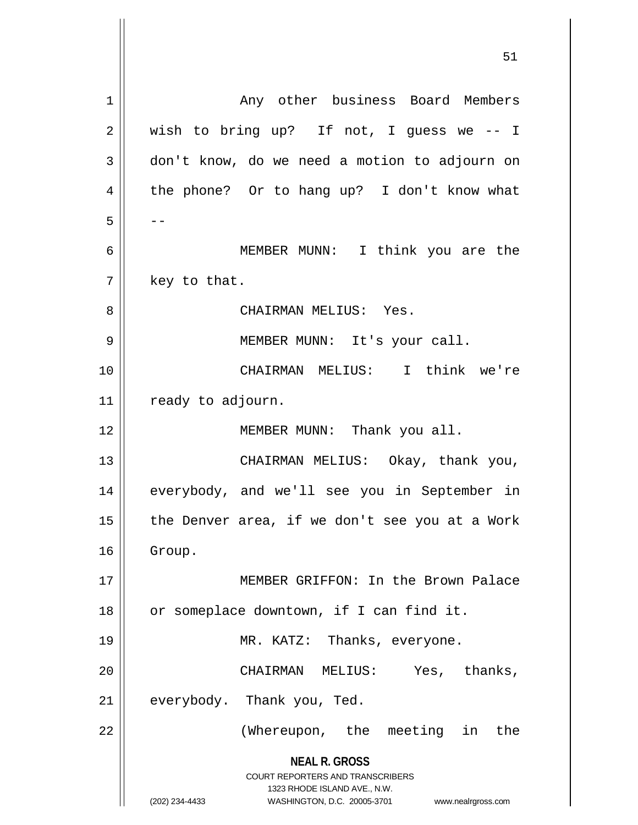**NEAL R. GROSS** COURT REPORTERS AND TRANSCRIBERS 1323 RHODE ISLAND AVE., N.W. (202) 234-4433 WASHINGTON, D.C. 20005-3701 www.nealrgross.com 1 | Any other business Board Members  $2 \parallel$  wish to bring up? If not, I guess we -- I 3 | don't know, do we need a motion to adjourn on 4 || the phone? Or to hang up? I don't know what  $5 \parallel - -$ 6 MEMBER MUNN: I think you are the  $7 \parallel$  key to that. 8 CHAIRMAN MELIUS: Yes. 9 MEMBER MUNN: It's your call. 10 CHAIRMAN MELIUS: I think we're 11 | ready to adjourn. 12 || MEMBER MUNN: Thank you all. 13 || CHAIRMAN MELIUS: Okay, thank you, 14 || everybody, and we'll see you in September in 15  $\parallel$  the Denver area, if we don't see you at a Work 16 | Group. 17 MEMBER GRIFFON: In the Brown Palace 18 || or someplace downtown, if I can find it. 19 MR. KATZ: Thanks, everyone. 20 || CHAIRMAN MELIUS: Yes, thanks,  $21$  | everybody. Thank you, Ted. 22 (Whereupon, the meeting in the